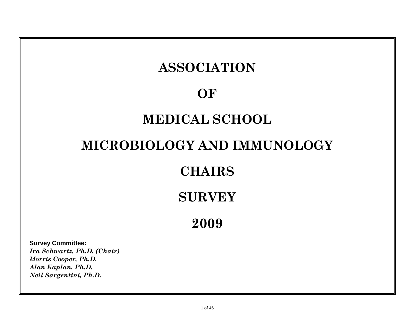# **ASSOCIATION**

# **OF**

# **MEDICAL SCHOOL**

# **MICROBIOLOGY AND IMMUNOLOGY**

# **CHAIRS**

# **SURVEY**

**2009**

**Survey Committee:** *Ira Schwartz, Ph.D. (Chair) Morris Cooper, Ph.D. Alan Kaplan, Ph.D. Neil Sargentini, Ph.D.*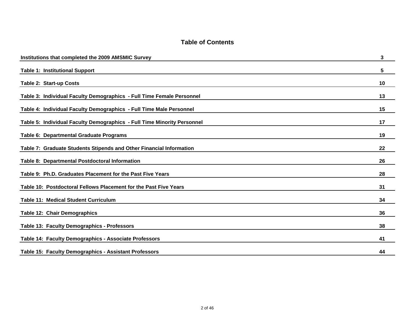| Institutions that completed the 2009 AMSMIC Survey                      | 3  |
|-------------------------------------------------------------------------|----|
| <b>Table 1: Institutional Support</b>                                   | 5  |
| <b>Table 2: Start-up Costs</b>                                          | 10 |
| Table 3: Individual Faculty Demographics - Full Time Female Personnel   | 13 |
| Table 4: Individual Faculty Demographics - Full Time Male Personnel     | 15 |
| Table 5: Individual Faculty Demographics - Full Time Minority Personnel | 17 |
| Table 6: Departmental Graduate Programs                                 | 19 |
| Table 7: Graduate Students Stipends and Other Financial Information     | 22 |
| Table 8: Departmental Postdoctoral Information                          | 26 |
| Table 9: Ph.D. Graduates Placement for the Past Five Years              | 28 |
| Table 10: Postdoctoral Fellows Placement for the Past Five Years        | 31 |
| <b>Table 11: Medical Student Curriculum</b>                             | 34 |
| Table 12: Chair Demographics                                            | 36 |
| Table 13: Faculty Demographics - Professors                             | 38 |
| Table 14: Faculty Demographics - Associate Professors                   | 41 |
| Table 15: Faculty Demographics - Assistant Professors                   | 44 |

#### **Table of Contents**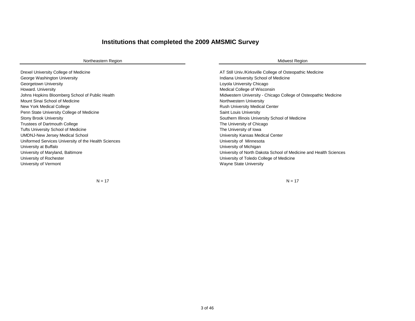### **Institutions that completed the 2009 AMSMIC Survey**

| Northeastern Region                                  | <b>Midwest Region</b>                                             |
|------------------------------------------------------|-------------------------------------------------------------------|
| Drexel University College of Medicine                | AT Still Univ./Kirksville College of Osteopathic Medicine         |
| George Washington University                         | Indiana University School of Medicine                             |
| Georgetown University                                | Loyola University Chicago                                         |
| Howard. University                                   | Medical College of Wisconsin                                      |
| Johns Hopkins Bloomberg School of Public Health      | Midwestern University - Chicago College of Osteopathic Medicine   |
| Mount Sinai School of Medicine                       | Northwestern University                                           |
| New York Medical College                             | <b>Rush University Medical Center</b>                             |
| Penn State University College of Medicine            | Saint Louis University                                            |
| <b>Stony Brook University</b>                        | Southern Illinois University School of Medicine                   |
| Trustees of Dartmouth College                        | The University of Chicago                                         |
| <b>Tufts University School of Medicine</b>           | The University of Iowa                                            |
| <b>UMDNJ-New Jersey Medical School</b>               | University Kansas Medical Center                                  |
| Uniformed Services University of the Health Sciences | University of Minnesota                                           |
| University at Buffalo                                | University of Michigan                                            |
| University of Maryland, Baltimore                    | University of North Dakota School of Medicine and Health Sciences |
| University of Rochester                              | University of Toledo College of Medicine                          |
| University of Vermont                                | <b>Wayne State University</b>                                     |

 $N = 17$   $N = 17$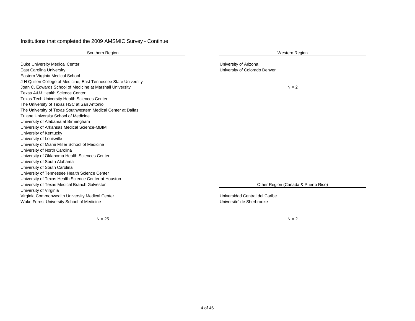#### Institutions that completed the 2009 AMSMIC Survey - Continue

| Southern Region                                                                                                                                                                                                                                                       | <b>Western Region</b>                                       |
|-----------------------------------------------------------------------------------------------------------------------------------------------------------------------------------------------------------------------------------------------------------------------|-------------------------------------------------------------|
| Duke University Medical Center<br>East Carolina University<br>Eastern Virginia Medical School                                                                                                                                                                         | University of Arizona<br>University of Colorado Denver      |
| J H Quillen College of Medicine, East Tennessee State University<br>Joan C. Edwards School of Medicine at Marshall University<br><b>Texas A&amp;M Health Science Center</b><br><b>Texas Tech University Health Sciences Center</b>                                    | $N = 2$                                                     |
| The University of Texas HSC at San Antonio<br>The University of Texas Southwestern Medical Center at Dallas<br>Tulane University School of Medicine<br>University of Alabama at Birmingham<br>University of Arkansas Medical Science-MBIM                             |                                                             |
| University of Kentucky<br>University of Louisville<br>University of Miami Miller School of Medicine<br>University of North Carolina                                                                                                                                   |                                                             |
| University of Oklahoma Health Sciences Center<br>University of South Alabama<br>University of South Carolina<br>University of Tennessee Health Science Center<br>University of Texas Health Science Center at Houston<br>University of Texas Medical Branch Galveston | Other Region (Canada & Puerto Rico)                         |
| University of Virginia<br>Virginia Commonwealth University Medical Center<br>Wake Forest University School of Medicine                                                                                                                                                | Universidad Central del Caribe<br>Universite' de Sherbrooke |

 $N = 25$   $N = 2$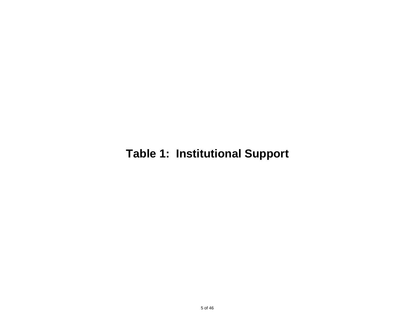# **Table 1: Institutional Support**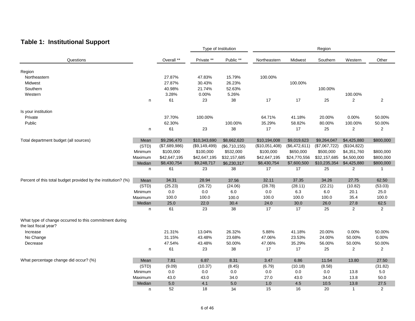### **Table 1: Institutional Support**

|                                                                                 |         |               |               | Type of Institution | Region         |               |               |                |                         |
|---------------------------------------------------------------------------------|---------|---------------|---------------|---------------------|----------------|---------------|---------------|----------------|-------------------------|
| Questions                                                                       |         | Overall **    | Private **    | Public **           | Northeastern   | Midwest       | Southern      | Western        | Other                   |
| Region                                                                          |         |               |               |                     |                |               |               |                |                         |
| Northeastern                                                                    |         | 27.87%        | 47.83%        | 15.79%              | 100.00%        |               |               |                |                         |
| Midwest                                                                         |         | 27.87%        | 30.43%        | 26.23%              |                | 100.00%       |               |                |                         |
| Southern                                                                        |         | 40.98%        | 21.74%        | 52.63%              |                |               | 100.00%       |                |                         |
| Western                                                                         |         | 3.28%         | 0.00%         | 5.26%               |                |               |               |                |                         |
|                                                                                 |         | 61            |               |                     | 17             | 17            |               | 100.00%        |                         |
|                                                                                 | n       |               | 23            | 38                  |                |               | 25            | 2              | 2                       |
| Is your institution                                                             |         |               |               |                     |                |               |               |                |                         |
| Private                                                                         |         | 37.70%        | 100.00%       |                     | 64.71%         | 41.18%        | 20.00%        | 0.00%          | 50.00%                  |
| Public                                                                          |         | 62.30%        |               | 100.00%             | 35.29%         | 58.82%        | 80.00%        | 100.00%        | 50.00%                  |
|                                                                                 | n       | 61            | 23            | 38                  | 17             | 17            | 25            | 2              | $\overline{2}$          |
| Total department budget (all sources)                                           | Mean    | \$9,296,470   | \$10,343,690  | \$8,662,620         | \$10,194,008   | \$9,019,623   | \$9,264,047   | \$4,425,880    | \$800,000               |
|                                                                                 | (STD)   | (\$7,689,986) | (\$9,149,499) | (\$6,710,155)       | (\$10,051,408) | (\$6,472,611) | (\$7,067,722) | (\$104,822)    |                         |
|                                                                                 | Minimum | \$100,000     | \$100,000     | \$532,000           | \$100,000      | \$650,000     | \$500,000     | \$4,351,760    | \$800,000               |
|                                                                                 | Maximum | \$42,647,195  | \$42,647,195  | \$32,157,685        | \$42,647,195   | \$24,770,556  | \$32,157,685  | \$4,500,000    | \$800,000               |
|                                                                                 | Median  | \$8,430,754   | \$9,248,717   | \$6,230,317         | \$8,430,754    | \$7,600,500   | \$10,235,354  | \$4,425,880    | \$800,000               |
|                                                                                 | n       | 61            | 23            | 38                  | 17             | 17            | 25            | $\overline{2}$ | $\mathbf{1}$            |
| Percent of this total budget provided by the institution? (%)                   | Mean    | 34.31         | 28.94         | 37.56               | 32.11          | 37.35         | 34.26         | 27.75          | 62.50                   |
|                                                                                 | (STD)   | (25.23)       | (26.72)       | (24.06)             | (28.78)        | (28.11)       | (22.21)       | (10.82)        | (53.03)                 |
|                                                                                 |         |               |               |                     |                |               |               |                |                         |
|                                                                                 | Minimum | 0.0           | 0.0           | 6.0                 | 0.0            | 6.3           | 6.0           | 20.1           | 25.0                    |
|                                                                                 | Maximum | 100.0         | 100.0         | 100.0               | 100.0          | 100.0         | 100.0         | 35.4           | 100.0                   |
|                                                                                 | Median  | 25.0          | 22.0          | 30.4                | 24.0           | 30.0          | 26.0          | 27.8           | 62.5                    |
|                                                                                 | n       | 61            | 23            | 38                  | 17             | 17            | 25            | 2              | $\overline{2}$          |
| What type of change occurred to this commitment during<br>the last fiscal year? |         |               |               |                     |                |               |               |                |                         |
| Increase                                                                        |         | 21.31%        | 13.04%        | 26.32%              | 5.88%          | 41.18%        | 20.00%        | 0.00%          | 50.00%                  |
| No Change                                                                       |         | 31.15%        | 43.48%        | 23.68%              | 47.06%         | 23.53%        | 24.00%        | 50.00%         | 0.00%                   |
| Decrease                                                                        |         | 47.54%        | 43.48%        | 50.00%              | 47.06%         | 35.29%        | 56.00%        | 50.00%         | 50.00%                  |
|                                                                                 | n       | 61            | 23            | 38                  | 17             | 17            | 25            | 2              | $\overline{\mathbf{c}}$ |
| What percentage change did occur? (%)                                           | Mean    | 7.81          | 6.87          | 8.31                | 3.47           | 6.86          | 11.54         | 13.80          | 27.50                   |
|                                                                                 | (STD)   | (9.09)        | (10.37)       | (8.45)              | (6.79)         | (10.18)       | (8.58)        |                | (31.82)                 |
|                                                                                 | Minimum |               | $0.0\,$       |                     | 0.0            | 0.0           | $0.0\,$       |                | $5.0\,$                 |
|                                                                                 | Maximum | 0.0           |               | 0.0<br>34.0         | 27.0           | 43.0          | 34.0          | 13.8           | 50.0                    |
|                                                                                 |         | 43.0<br>5.0   | 43.0<br>4.1   | 5.0                 | 1.0            | 4.5           | 10.5          | 13.8           |                         |
|                                                                                 | Median  |               |               |                     |                |               |               | 13.8           | 27.5                    |
|                                                                                 | n       | 52            | 18            | 34                  | 15             | 16            | 20            | $\overline{1}$ | $\overline{2}$          |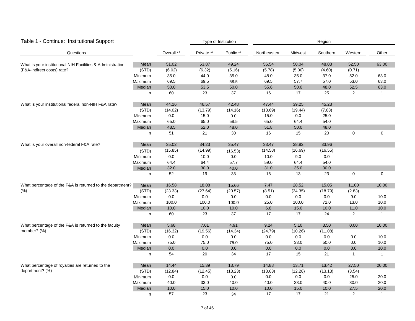| Table 1 - Continue: Institutional Support                  |              |            | Type of Institution |           | Region       |         |          |                |              |  |
|------------------------------------------------------------|--------------|------------|---------------------|-----------|--------------|---------|----------|----------------|--------------|--|
| Questions                                                  |              | Overall ** | Private **          | Public ** | Northeastern | Midwest | Southern | Western        | Other        |  |
| What is your institutional NIH Facilities & Administration | Mean         | 51.02      | 53.87               | 49.24     | 56.54        | 50.04   | 48.03    | 52.50          | 63.00        |  |
| (F&A-indirect costs) rate?                                 | (STD)        | (6.02)     | (6.32)              | (5.16)    | (5.78)       | (5.00)  | (4.60)   | (0.71)         |              |  |
|                                                            | Minimum      | 35.0       | 44.0                | 35.0      | 48.0         | 35.0    | 37.0     | 52.0           | 63.0         |  |
|                                                            | Maximum      | 69.5       | 69.5                | 58.5      | 69.5         | 57.7    | 57.0     | 53.0           | 63.0         |  |
|                                                            | Median       | 50.0       | 53.5                | 50.0      | 55.6         | 50.0    | 48.0     | 52.5           | 63.0         |  |
|                                                            | n            | 60         | 23                  | 37        | 16           | 17      | 25       | $\overline{2}$ | $\mathbf{1}$ |  |
| What is your institutional federal non-NIH F&A rate?       | Mean         | 44.16      | 46.57               | 42.48     | 47.44        | 39.25   | 45.23    |                |              |  |
|                                                            | (STD)        | (14.02)    | (13.79)             | (14.16)   | (13.69)      | (19.44) | (7.83)   |                |              |  |
|                                                            | Minimum      | 0.0        | 15.0                | $0.0\,$   | 15.0         | $0.0\,$ | 25.0     |                |              |  |
|                                                            | Maximum      | 65.0       | 65.0                | 58.5      | 65.0         | 64.4    | 54.0     |                |              |  |
|                                                            | Median       | 48.5       | 52.0                | 48.0      | 51.8         | 50.0    | 48.0     |                |              |  |
|                                                            | n            | 51         | 21                  | 30        | 16           | 15      | 20       | $\mathbf 0$    | 0            |  |
| What is your overall non-federal F&A rate?                 | Mean         | 35.02      | 34.23               | 35.47     | 33.47        | 38.82   | 33.96    |                |              |  |
|                                                            | (STD)        | (15.85)    | (14.99)             | (16.53)   | (14.58)      | (16.69) | (16.55)  |                |              |  |
|                                                            | Minimum      | 0.0        | 10.0                | 0.0       | 10.0         | 9.0     | $0.0\,$  |                |              |  |
|                                                            | Maximum      | 64.4       | 64.4                | 57.7      | 59.0         | 64.4    | 54.0     |                |              |  |
|                                                            | Median       | 32.0       | 30.0                | 40.0      | 31.0         | 35.0    | 30.0     |                |              |  |
|                                                            | n            | 52         | 19                  | 33        | 16           | 13      | 23       | 0              | $\mathbf 0$  |  |
| What percentage of the F&A is returned to the department?  | Mean         | 16.58      | 18.08               | 15.66     | 7.47         | 28.52   | 15.05    | 11.00          | 10.00        |  |
| (% )                                                       | (STD)        | (23.33)    | (27.64)             | (20.57)   | (8.51)       | (34.35) | (18.79)  | (2.83)         |              |  |
|                                                            | Minimum      | $0.0\,$    | $0.0\,$             | $0.0\,$   | $0.0\,$      | $0.0\,$ | $0.0\,$  | 9.0            | 10.0         |  |
|                                                            | Maximum      | 100.0      | 100.0               | 100.0     | 25.0         | 100.0   | 72.0     | 13.0           | 10.0         |  |
|                                                            | Median       | 10.0       | 10.0                | 10.0      | 6.8          | 15.0    | 10.0     | 11.0           | 10.0         |  |
|                                                            | $\mathsf{n}$ | 60         | 23                  | 37        | 17           | 17      | 24       | 2              | $\mathbf{1}$ |  |
| What percentage of the F&A is returned to the faculty      | Mean         | 5.68       | 7.01                | 4.91      | 9.24         | 5.10    | 3.50     | 0.00           | 10.00        |  |
| member? (%)                                                | (STD)        | (16.32)    | (19.56)             | (14.34)   | (24.79)      | (10.26) | (11.08)  |                |              |  |
|                                                            | Minimum      | $0.0\,$    | 0.0                 | $0.0\,$   | 0.0          | 0.0     | 0.0      | 0.0            | 10.0         |  |
|                                                            | Maximum      | 75.0       | 75.0                | 75.0      | 75.0         | 33.0    | 50.0     | 0.0            | 10.0         |  |
|                                                            | Median       | 0.0        | $0.0\,$             | $0.0\,$   | 0.0          | 0.0     | $0.0\,$  | $0.0\,$        | 10.0         |  |
|                                                            | n            | 54         | 20                  | 34        | 17           | 15      | 21       | $\mathbf{1}$   | $\mathbf{1}$ |  |
| What percentage of royalties are returned to the           | Mean         | 14.44      | 15.39               | 13.79     | 14.88        | 13.71   | 13.42    | 27.50          | 20.00        |  |
| department? (%)                                            | (STD)        | (12.84)    | (12.45)             | (13.23)   | (13.63)      | (12.28) | (13.13)  | (3.54)         |              |  |
|                                                            | Minimum      | $0.0\,$    | $0.0\,$             | 0.0       | $0.0\,$      | 0.0     | $0.0\,$  | 25.0           | 20.0         |  |
|                                                            | Maximum      | 40.0       | 33.0                | 40.0      | 40.0         | 33.0    | 40.0     | 30.0           | 20.0         |  |
|                                                            | Median       | 10.0       | 15.0                | 10.0      | 10.0         | 15.0    | 10.0     | 27.5           | 20.0         |  |
|                                                            | n            | 57         | 23                  | 34        | 17           | 17      | 21       | 2              | $\mathbf{1}$ |  |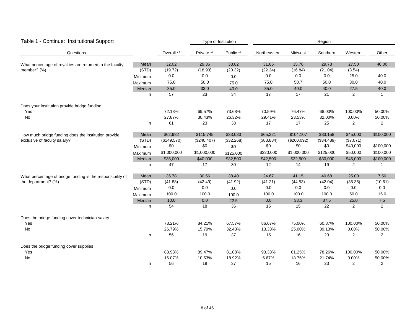| Table 1 - Continue: Institutional Support                                            |         |             | Type of Institution |            | Region       |             |            |                |              |
|--------------------------------------------------------------------------------------|---------|-------------|---------------------|------------|--------------|-------------|------------|----------------|--------------|
| Questions                                                                            |         | Overall **  | Private **          | Public **  | Northeastern | Midwest     | Southern   | Western        | Other        |
| What percentage of royalties are returned to the faculty                             | Mean    | 32.02       | 29.36               | 33.82      | 31.65        | 35.76       | 29.73      | 27.50          | 40.00        |
| member? (%)                                                                          | (STD)   | (19.72)     | (18.93)             | (20.32)    | (22.34)      | (16.84)     | (21.04)    | (3.54)         |              |
|                                                                                      | Minimum | 0.0         | 0.0                 | 0.0        | 0.0          | 0.0         | 0.0        | 25.0           | 40.0         |
|                                                                                      | Maximum | 75.0        | 50.0                | 75.0       | 75.0         | 58.7        | 50.0       | 30.0           | 40.0         |
|                                                                                      | Median  | $35.0\,$    | 33.0                | 40.0       | 35.0         | 40.0        | 40.0       | 27.5           | 40.0         |
|                                                                                      | n       | 57          | 23                  | 34         | 17           | 17          | 21         | $\overline{2}$ | $\mathbf{1}$ |
| Does your institution provide bridge funding                                         |         |             |                     |            |              |             |            |                |              |
| Yes                                                                                  |         | 72.13%      | 69.57%              | 73.68%     | 70.59%       | 76.47%      | 68.00%     | 100.00%        | 50.00%       |
| No                                                                                   |         | 27.87%      | 30.43%              | 26.32%     | 29.41%       | 23.53%      | 32.00%     | 0.00%          | 50.00%       |
|                                                                                      | n       | 61          | 23                  | 38         | 17           | 17          | 25         | 2              | 2            |
| How much bridge funding does the institution provide<br>exclusive of faculty salary? | Mean    | \$62,982    | \$115,745           | \$33,083   | \$65,221     | \$104,107   | \$33,158   | \$45,000       | \$100,000    |
|                                                                                      | (STD)   | (\$149,570) | (\$240,407)         | (\$32,268) | (\$88,884)   | (\$260,092) | (\$34,489) | (\$7,071)      |              |
|                                                                                      | Minimum | \$0         | \$0                 | \$0        | \$0          | \$0         | \$0        | \$40,000       | \$100,000    |
|                                                                                      | Maximum | \$1,000,000 | \$1,000,000         | \$125,000  | \$320,000    | \$1,000,000 | \$125,000  | \$50,000       | \$100,000    |
|                                                                                      | Median  | \$35,000    | \$40,000            | \$32,500   | \$42,500     | \$32,500    | \$30,000   | \$45,000       | \$100,000    |
|                                                                                      | n       | 47          | 17                  | 30         | 12           | 14          | 19         | $\overline{2}$ | $\mathbf{1}$ |
| What percentage of bridge funding is the responsibility of                           | Mean    | 35.78       | 30.56               | 38.40      | 24.67        | 41.15       | 40.68      | 25.00          | 7.50         |
| the department? (%)                                                                  | (STD)   | (41.88)     | (42.49)             | (41.92)    | (41.21)      | (44.53)     | (42.04)    | (35.36)        | (10.61)      |
|                                                                                      | Minimum | 0.0         | 0.0                 | 0.0        | 0.0          | 0.0         | 0.0        | 0.0            | 0.0          |
|                                                                                      | Maximum | 100.0       | 100.0               | 100.0      | 100.0        | 100.0       | 100.0      | 50.0           | 15.0         |
|                                                                                      | Median  | 10.0        | 0.0                 | 22.5       | 0.0          | 33.3        | 37.5       | 25.0           | 7.5          |
|                                                                                      | n       | 54          | 18                  | 36         | 15           | 15          | 22         | 2              | 2            |
| Does the bridge funding cover technician salary                                      |         |             |                     |            |              |             |            |                |              |
| Yes                                                                                  |         | 73.21%      | 84.21%              | 67.57%     | 86.67%       | 75.00%      | 60.87%     | 100.00%        | 50.00%       |
| No                                                                                   |         | 26.79%      | 15.79%              | 32.43%     | 13.33%       | 25.00%      | 39.13%     | 0.00%          | 50.00%       |
|                                                                                      | n       | 56          | 19                  | 37         | 15           | 16          | 23         | $\overline{2}$ | 2            |
| Does the bridge funding cover supplies                                               |         |             |                     |            |              |             |            |                |              |
| Yes                                                                                  |         | 83.93%      | 89.47%              | 81.08%     | 93.33%       | 81.25%      | 78.26%     | 100.00%        | 50.00%       |
| No                                                                                   |         | 16.07%      | 10.53%              | 18.92%     | 6.67%        | 18.75%      | 21.74%     | 0.00%          | 50.00%       |
|                                                                                      | n       | 56          | 19                  | 37         | 15           | 16          | 23         | $\overline{2}$ | 2            |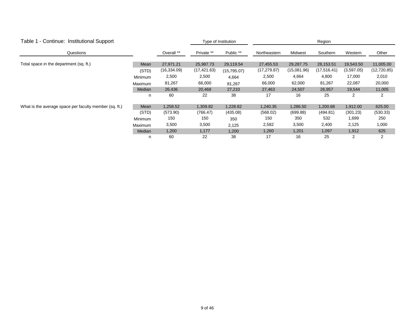| Table 1 - Continue: Institutional Support              |                |              | Type of Institution |             | Region       |             |              |            |              |  |
|--------------------------------------------------------|----------------|--------------|---------------------|-------------|--------------|-------------|--------------|------------|--------------|--|
| Questions                                              |                | Overall **   | Private **          | Public **   | Northeastern | Midwest     | Southern     | Western    | Other        |  |
| Total space in the department (sq. ft.)                | Mean           | 27,971.21    | 25,987.73           | 29,119.54   | 27,455.53    | 29,287.75   | 28,153.51    | 19,543.50  | 11,005.00    |  |
|                                                        | (STD)          | (16, 334.09) | (17, 421.63)        | (15,795.07) | (17, 279.87) | (15,081.96) | (17, 516.41) | (3,597.05) | (12, 720.85) |  |
|                                                        | Minimum        | 2,500        | 2,500               | 4,664       | 2,500        | 4,664       | 4,800        | 17,000     | 2,010        |  |
|                                                        | <b>Maximum</b> | 81,267       | 66,000              | 81,267      | 66,000       | 62,000      | 81,267       | 22,087     | 20,000       |  |
|                                                        | Median         | 26,436       | 20,468              | 27,210      | 27,463       | 24,507      | 26,957       | 19,544     | 11,005       |  |
|                                                        | n              | 60           | 22                  | 38          | 17           | 16          | 25           | 2          | 2            |  |
| What is the average space per faculty member (sq. ft.) | Mean           | 1,258.52     | 1,309.82            | 1,228.82    | 1,240.35     | 1,286.50    | 1,200.68     | 1,912.00   | 625.00       |  |
|                                                        | (STD)          | (573.90)     | (766.47)            | (435.08)    | (568.02)     | (699.88)    | (494.81)     | (301.23)   | (530.33)     |  |
|                                                        | Minimum        | 150          | 150                 | 350         | 150          | 350         | 532          | 1,699      | 250          |  |
|                                                        | <b>Maximum</b> | 3,500        | 3,500               | 2,125       | 2,582        | 3,500       | 2,400        | 2,125      | 1,000        |  |
|                                                        | Median         | 1,200        | 1,177               | 1,200       | 1,260        | 1,201       | 1,097        | 1,912      | 625          |  |
|                                                        | n              | 60           | 22                  | 38          | 17           | 16          | 25           | 2          | 2            |  |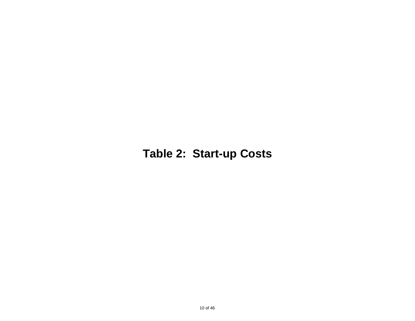# **Table 2: Start-up Costs**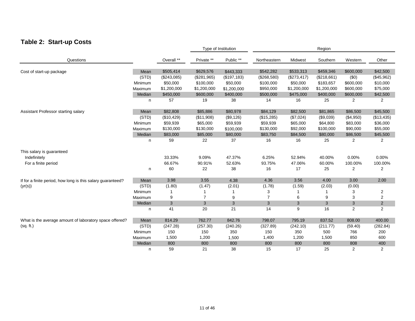### **Table 2: Start-up Costs**

|                                                             |         |             |             | Type of Institution |                | Region      |             |                |                |  |
|-------------------------------------------------------------|---------|-------------|-------------|---------------------|----------------|-------------|-------------|----------------|----------------|--|
| Questions                                                   |         | Overall **  | Private **  | Public **           | Northeastern   | Midwest     | Southern    | Western        | Other          |  |
| Cost of start-up package                                    | Mean    | \$505,414   | \$629,576   | \$443,333           | \$542,282      | \$533,313   | \$459,346   | \$600,000      | \$42,500       |  |
|                                                             | (STD)   | (\$243,085) | (\$281,965) | (\$197, 183)        | (\$268,580)    | (\$273,417) | (\$218,661) | (50)           | (\$45,962)     |  |
|                                                             | Minimum | \$50,000    | \$100,000   | \$50,000            | \$100,000      | \$50,000    | \$183,657   | \$600,000      | \$10,000       |  |
|                                                             | Maximum | \$1,200,000 | \$1,200,000 | \$1,200,000         | \$950,000      | \$1,200,000 | \$1,200,000 | \$600,000      | \$75,000       |  |
|                                                             | Median  | \$450,000   | \$600,000   | \$400,000           | \$500,000      | \$475,000   | \$400,000   | \$600,000      | \$42,500       |  |
|                                                             | n       | 57          | 19          | 38                  | 14             | 16          | 25          | $\overline{2}$ | 2              |  |
| Assistant Professor starting salary                         | Mean    | \$82,808    | \$85,886    | \$80,978            | \$84,129       | \$82,500    | \$81,865    | \$86,500       | \$45,500       |  |
|                                                             | (STD)   | (\$10,429)  | (\$11,908)  | (\$9,126)           | (\$15,285)     | (\$7,024)   | (\$9,039)   | (\$4,950)      | (\$13,435)     |  |
|                                                             | Minimum | \$59,939    | \$65,000    | \$59,939            | \$59,939       | \$65,000    | \$64,800    | \$83,000       | \$36,000       |  |
|                                                             | Maximum | \$130,000   | \$130,000   | \$100,000           | \$130,000      | \$92,000    | \$100,000   | \$90,000       | \$55,000       |  |
|                                                             | Median  | \$83,000    | \$85,000    | \$80,000            | \$83,750       | \$84,500    | \$80,000    | \$86,500       | \$45,500       |  |
|                                                             | n       | 59          | 22          | 37                  | 16             | 16          | 25          | 2              | 2              |  |
| This salary is guaranteed                                   |         |             |             |                     |                |             |             |                |                |  |
| Indefinitely                                                |         | 33.33%      | 9.09%       | 47.37%              | 6.25%          | 52.94%      | 40.00%      | 0.00%          | 0.00%          |  |
| For a finite period                                         |         | 66.67%      | 90.91%      | 52.63%              | 93.75%         | 47.06%      | 60.00%      | 100.00%        | 100.00%        |  |
|                                                             | n       | 60          | 22          | 38                  | 16             | 17          | 25          | 2              | 2              |  |
| If for a finite period, how long is this salary guaranteed? | Mean    | 3.98        | 3.55        | 4.38                | 4.36           | 3.56        | 4.00        | 3.00           | 2.00           |  |
| (yr(s))                                                     | (STD)   | (1.80)      | (1.47)      | (2.01)              | (1.78)         | (1.59)      | (2.03)      | (0.00)         |                |  |
|                                                             | Minimum | 1           |             |                     | 3              |             |             | 3              | $\overline{2}$ |  |
|                                                             | Maximum | 9           | 7           | 9                   | $\overline{7}$ | 6           | 9           | 3              | 2              |  |
|                                                             | Median  | 3           | 3           | 3                   | 3              | 3           | 3           | 3              | $\overline{2}$ |  |
|                                                             | n.      | 41          | 20          | 21                  | 14             | 9           | 16          | $\overline{2}$ | 2              |  |
| What is the average amount of laboratory space offered?     | Mean    | 814.29      | 762.77      | 842.76              | 798.07         | 795.19      | 837.52      | 808.00         | 400.00         |  |
| (sq. ft.)                                                   | (STD)   | (247.28)    | (257.30)    | (240.26)            | (327.89)       | (242.10)    | (211.77)    | (59.40)        | (282.84)       |  |
|                                                             | Minimum | 150         | 150         | 350                 | 150            | 350         | 500         | 766            | 200            |  |
|                                                             | Maximum | 1,500       | 1,200       | 1,500               | 1,400          | 1,200       | 1,500       | 850            | 600            |  |
|                                                             | Median  | 800         | 800         | 800                 | 800            | 800         | 800         | 808            | 400            |  |
|                                                             | n       | 59          | 21          | 38                  | 15             | 17          | 25          | 2              | 2              |  |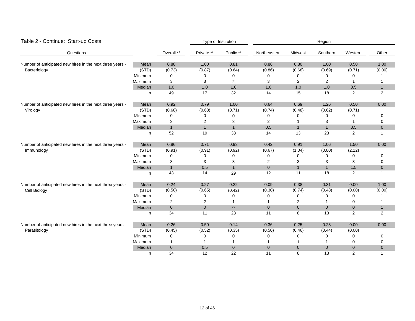| Table 2 - Continue: Start-up Costs                                      |         |                | Type of Institution |              | Region         |                |                |              |              |
|-------------------------------------------------------------------------|---------|----------------|---------------------|--------------|----------------|----------------|----------------|--------------|--------------|
| Questions                                                               |         | Overall **     | Private **          | Public **    | Northeastern   | Midwest        | Southern       | Western      | Other        |
| Number of anticipated new hires in the next three years -               | Mean    | 0.88           | 1.00                | 0.81         | 0.86           | 0.80           | 1.00           | 0.50         | 1.00         |
| Bacteriology                                                            | (STD)   | (0.73)         | (0.87)              | (0.64)       | (0.86)         | (0.68)         | (0.69)         | (0.71)       | (0.00)       |
|                                                                         | Minimum | 0              | 0                   | ∩            | 0              | 0              | 0              | 0            |              |
|                                                                         | Maximum | 3              | 3                   | 2            | 3              | $\overline{2}$ | $\overline{2}$ |              |              |
|                                                                         | Median  | 1.0            | 1.0                 | 1.0          | 1.0            | 1.0            | 1.0            | 0.5          | $\mathbf{1}$ |
|                                                                         | n       | 49             | 17                  | 32           | 14             | 15             | 18             | 2            | 2            |
| Number of anticipated new hires in the next three years -               | Mean    | 0.92           | 0.79                | 1.00         | 0.64           | 0.69           | 1.26           | 0.50         | 0.00         |
| Virology                                                                | (STD)   | (0.68)         | (0.63)              | (0.71)       | (0.74)         | (0.48)         | (0.62)         | (0.71)       |              |
|                                                                         | Minimum | 0              | 0                   | 0            | 0              | $\Omega$       | 0              | 0            | 0            |
|                                                                         | Maximum | 3              | 2                   | 3            | $\overline{2}$ |                | 3              | -1           | 0            |
|                                                                         | Median  | $\mathbf{1}$   | $\mathbf{1}$        | $\mathbf{1}$ | 0.5            | $\mathbf{1}$   | $\mathbf{1}$   | 0.5          | $\mathbf 0$  |
|                                                                         | n       | 52             | 19                  | 33           | 14             | 13             | 23             | 2            | $\mathbf{1}$ |
| Number of anticipated new hires in the next three years -<br>Immunology | Mean    | 0.86           | 0.71                | 0.93         | 0.42           | 0.91           | 1.06           | 1.50         | 0.00         |
|                                                                         | (STD)   | (0.91)         | (0.91)              | (0.92)       | (0.67)         | (1.04)         | (0.80)         | (2.12)       |              |
|                                                                         | Minimum | 0              | 0                   | 0            | 0              | 0              | 0              | 0            | 0            |
|                                                                         | Maximum | 3              | 3                   | 3            | 2              | 3              | 3              | 3            | 0            |
|                                                                         | Median  | $\mathbf{1}$   | 0.5                 | $\mathbf{1}$ | $\mathbf 0$    | $\mathbf{1}$   | $\mathbf{1}$   | 1.5          | $\mathbf{0}$ |
|                                                                         | n       | 43             | 14                  | 29           | 12             | 11             | 18             | 2            | 1            |
| Number of anticipated new hires in the next three years -               | Mean    | 0.24           | 0.27                | 0.22         | 0.09           | 0.38           | 0.31           | 0.00         | 1.00         |
| Cell Biology                                                            | (STD)   | (0.50)         | (0.65)              | (0.42)       | (0.30)         | (0.74)         | (0.48)         | (0.00)       | (0.00)       |
|                                                                         | Minimum | 0              | 0                   | 0            | 0              | 0              | 0              | 0            |              |
|                                                                         | Maximum | 2              | 2                   |              |                | $\overline{c}$ |                | 0            | 1            |
|                                                                         | Median  | $\overline{0}$ | $\overline{0}$      | $\mathbf{0}$ | $\mathbf 0$    | $\mathbf{0}$   | $\mathbf 0$    | $\mathbf{0}$ | $\mathbf{1}$ |
|                                                                         | n       | 34             | 11                  | 23           | 11             | 8              | 13             | 2            | 2            |
| Number of anticipated new hires in the next three years -               | Mean    | 0.26           | 0.50                | 0.14         | 0.36           | 0.25           | 0.23           | 0.00         | 0.00         |
| Parasitology                                                            | (STD)   | (0.45)         | (0.52)              | (0.35)       | (0.50)         | (0.46)         | (0.44)         | (0.00)       |              |
|                                                                         | Minimum | 0              | 0                   | 0            | 0              | 0              | 0              | 0            | 0            |
|                                                                         | Maximum | 1              |                     | 1            | 1              |                | 1              | 0            | 0            |
|                                                                         | Median  | $\mathbf 0$    | 0.5                 | $\mathbf 0$  | $\mathbf 0$    | $\mathbf{0}$   | $\overline{0}$ | $\mathbf{0}$ | 0            |
|                                                                         | n       | 34             | 12                  | 22           | 11             | 8              | 13             | 2            | 1            |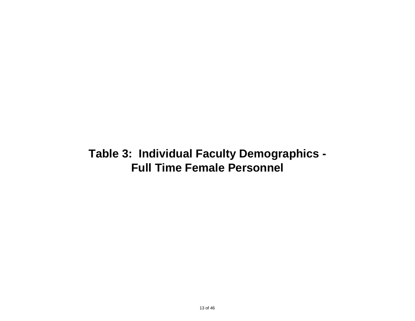### **Table 3: Individual Faculty Demographics - Full Time Female Personnel**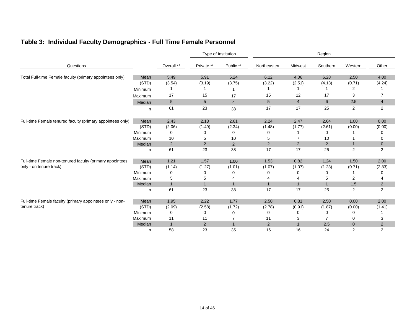|                                                            |         |                 | Type of Institution |                | Region         |                |                |                |                |
|------------------------------------------------------------|---------|-----------------|---------------------|----------------|----------------|----------------|----------------|----------------|----------------|
| Questions                                                  |         | Overall **      | Private **          | Public **      | Northeastern   | Midwest        | Southern       | Western        | Other          |
| Total Full-time Female faculty (primary appointees only)   | Mean    | 5.49            | 5.91                | 5.24           | 6.12           | 4.06           | 6.28           | 2.50           | 4.00           |
|                                                            | (STD)   | (3.54)          | (3.19)              | (3.75)         | (3.22)         | (2.51)         | (4.13)         | (0.71)         | (4.24)         |
|                                                            | Minimum |                 |                     | 1              |                |                |                | 2              |                |
|                                                            | Maximum | 17              | 15                  | 17             | 15             | 12             | 17             | 3              | $\overline{7}$ |
|                                                            | Median  | $5\phantom{.0}$ | $5\overline{)}$     | $\overline{4}$ | $5\phantom{1}$ | $\overline{4}$ | 6              | 2.5            | $\overline{4}$ |
|                                                            | n.      | 61              | 23                  | 38             | 17             | 17             | 25             | $\overline{2}$ | 2              |
| Full-time Female tenured faculty (primary appointees only) | Mean    | 2.43            | 2.13                | 2.61           | 2.24           | 2.47           | 2.64           | 1.00           | 0.00           |
|                                                            | (STD)   | (2.06)          | (1.49)              | (2.34)         | (1.48)         | (1.77)         | (2.61)         | (0.00)         | (0.00)         |
|                                                            | Minimum | 0               | 0                   | 0              | 0              |                | 0              |                | 0              |
|                                                            | Maximum | 10              | 5                   | 10             | 5              | $\overline{7}$ | 10             |                | 0              |
|                                                            | Median  | $\overline{2}$  | $\overline{2}$      | 2              | 2              | 2              | $\overline{2}$ | $\mathbf{1}$   | $\overline{0}$ |
|                                                            | n       | 61              | 23                  | 38             | 17             | 17             | 25             | $\overline{2}$ | 2              |
| Full-time Female non-tenured faculty (primary appointees   | Mean    | 1.21            | 1.57                | 1.00           | 1.53           | 0.82           | 1.24           | 1.50           | 2.00           |
| only - on tenure track)                                    | (STD)   | (1.14)          | (1.27)              | (1.01)         | (1.07)         | (1.07)         | (1.23)         | (0.71)         | (2.83)         |
|                                                            | Minimum | 0               | 0                   | 0              | 0              | 0              | 0              |                | 0              |
|                                                            | Maximum | 5               | 5                   | 4              |                |                | 5              | 2              | 4              |
|                                                            | Median  | $\mathbf{1}$    | $\mathbf{1}$        | $\overline{1}$ | $\mathbf{1}$   | $\mathbf{1}$   | $\mathbf{1}$   | 1.5            | $\overline{2}$ |
|                                                            | n       | 61              | 23                  | 38             | 17             | 17             | 25             | $\overline{2}$ | $\overline{2}$ |
| Full-time Female faculty (primary appointees only - non-   | Mean    | 1.95            | 2.22                | 1.77           | 2.50           | 0.81           | 2.50           | 0.00           | 2.00           |
| tenure track)                                              | (STD)   | (2.09)          | (2.58)              | (1.72)         | (2.78)         | (0.91)         | (1.87)         | (0.00)         | (1.41)         |
|                                                            | Minimum | 0               | 0                   | 0              | 0              | 0              | 0              | 0              |                |
|                                                            | Maximum | 11              | 11                  | 7              | 11             | 3              | $\overline{7}$ | 0              | 3              |
|                                                            | Median  | $\mathbf{1}$    | $\overline{2}$      | $\mathbf{1}$   | 2              | $\mathbf{1}$   | 2.5            | $\overline{0}$ | $2^{\circ}$    |
|                                                            | n       | 58              | 23                  | 35             | 16             | 16             | 24             | 2              | 2              |

### **Table 3: Individual Faculty Demographics - Full Time Female Personnel**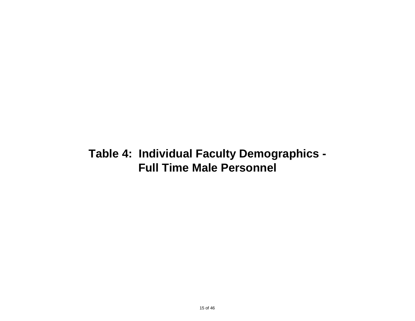# **Table 4: Individual Faculty Demographics - Full Time Male Personnel**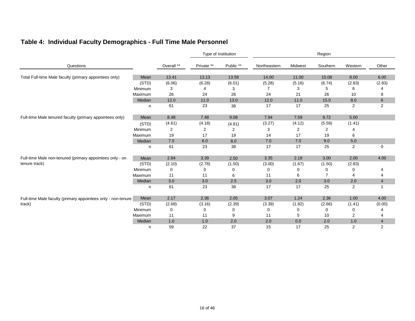| Table 4: Individual Faculty Demographics - Full Time Male Personnel |  |
|---------------------------------------------------------------------|--|
|---------------------------------------------------------------------|--|

|                                                              |         |                |            | Type of Institution |              | Region         |                |                |                |  |
|--------------------------------------------------------------|---------|----------------|------------|---------------------|--------------|----------------|----------------|----------------|----------------|--|
| Questions                                                    |         | Overall **     | Private ** | Public **           | Northeastern | Midwest        | Southern       | Western        | Other          |  |
| Total Full-time Male faculty (primary appointees only)       | Mean    | 13.41          | 13.13      | 13.58               | 14.00        | 11.00          | 15.08          | 8.00           | 6.00           |  |
|                                                              | (STD)   | (6.06)         | (6.28)     | (6.01)              | (5.28)       | (5.16)         | (6.74)         | (2.83)         | (2.83)         |  |
|                                                              | Minimum | 3              | 4          | З                   |              | 3              | 5              | 6              |                |  |
|                                                              | Maximum | 26             | 24         | 26                  | 24           | 21             | 26             | 10             | 8              |  |
|                                                              | Median  | 12.0           | 11.0       | 13.0                | 12.0         | 11.0           | 15.0           | 8.0            | $6\phantom{1}$ |  |
|                                                              | n       | 61             | 23         | 38                  | 17           | 17             | 25             | $\overline{2}$ | 2              |  |
| Full-time Male tenured faculty (primary appointees only)     | Mean    | 8.48           | 7.48       | 9.08                | 7.94         | 7.59           | 9.72           | 5.00           |                |  |
|                                                              | (STD)   | (4.61)         | (4.18)     | (4.81)              | (3.27)       | (4.12)         | (5.59)         | (1.41)         |                |  |
|                                                              | Minimum | $\overline{2}$ | 2          | 2                   | 3            | $\overline{2}$ | 2              |                |                |  |
|                                                              | Maximum | 19             | 17         | 19                  | 14           | 17             | 19             | 6              |                |  |
|                                                              | Median  | 7.0            | 6.0        | 8.0                 | 7.0          | 7.0            | 9.0            | $5.0\,$        |                |  |
|                                                              | n       | 61             | 23         | 38                  | 17           | 17             | 25             | $\overline{2}$ | 0              |  |
| Full-time Male non-tenured (primary appointees only - on     | Mean    | 2.84           | 3.39       | 2.50                | 3.35         | 2.18           | 3.00           | 2.00           | 4.00           |  |
| tenure track)                                                | (STD)   | (2.10)         | (2.78)     | (1.50)              | (3.00)       | (1.67)         | (1.50)         | (2.83)         |                |  |
|                                                              | Minimum | 0              | 0          | 0                   | 0            | 0              | 0              | 0              |                |  |
|                                                              | Maximum | 11             | 11         | 6                   | 11           | 6              | $\overline{7}$ | 4              | 4              |  |
|                                                              | Median  | 3.0            | 3.0        | 2.5                 | 3.0          | 2.0            | 3.0            | 2.0            | $\overline{4}$ |  |
|                                                              | n       | 61             | 23         | 38                  | 17           | 17             | 25             | 2              |                |  |
| Full-time Male faculty (primary appointees only - non-tenure | Mean    | 2.17           | 2.36       | 2.05                | 3.07         | 1.24           | 2.36           | 1.00           | 4.00           |  |
| track)                                                       | (STD)   | (2.68)         | (3.16)     | (2.39)              | (3.39)       | (1.82)         | (2.66)         | (1.41)         | (0.00)         |  |
|                                                              | Minimum | 0              | 0          | 0                   | 0            | 0              | 0              | 0              |                |  |
|                                                              | Maximum | 11             | 11         | 9                   | 11           | 5              | 10             | 2              | 4              |  |
|                                                              | Median  | 1.0            | 1.0        | 2.0                 | 2.0          | 0.0            | 2.0            | 1.0            | $\overline{4}$ |  |
|                                                              | n       | 59             | 22         | 37                  | 15           | 17             | 25             | 2              | $\overline{2}$ |  |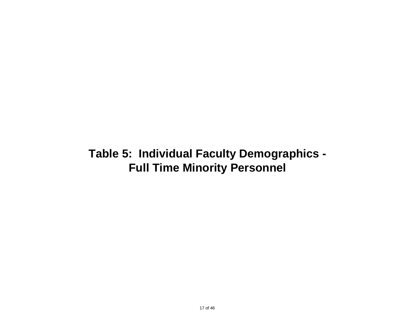# **Table 5: Individual Faculty Demographics - Full Time Minority Personnel**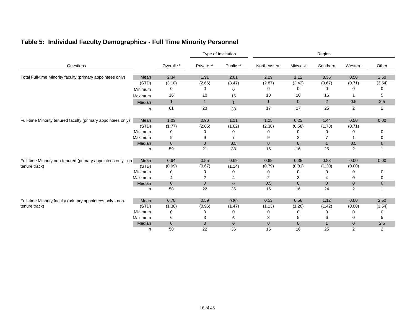|                                                              |         |              | Type of Institution |                |                |                | Region         |                |                |  |  |
|--------------------------------------------------------------|---------|--------------|---------------------|----------------|----------------|----------------|----------------|----------------|----------------|--|--|
| Questions                                                    |         | Overall **   | Private **          | Public **      | Northeastern   | Midwest        | Southern       | Western        | Other          |  |  |
| Total Full-time Minority faculty (primary appointees only)   | Mean    | 2.34         | 1.91                | 2.61           | 2.29           | 1.12           | 3.36           | 0.50           | 2.50           |  |  |
|                                                              | (STD)   | (3.18)       | (2.66)              | (3.47)         | (2.87)         | (2.42)         | (3.67)         | (0.71)         | (3.54)         |  |  |
|                                                              | Minimum | 0            | 0                   | 0              | 0              | 0              | 0              | 0              | 0              |  |  |
|                                                              | Maximum | 16           | 10                  | 16             | 10             | 10             | 16             |                | 5              |  |  |
|                                                              | Median  | $\mathbf{1}$ | $\mathbf{1}$        | $\mathbf{1}$   | $\mathbf{1}$   | $\overline{0}$ | $\overline{2}$ | 0.5            | 2.5            |  |  |
|                                                              | n       | 61           | 23                  | 38             | 17             | 17             | 25             | $\overline{2}$ | $\overline{2}$ |  |  |
| Full-time Minority tenured faculty (primary appointees only) | Mean    | 1.03         | 0.90                | 1.11           | 1.25           | 0.25           | 1.44           | 0.50           | 0.00           |  |  |
|                                                              | (STD)   | (1.77)       | (2.05)              | (1.62)         | (2.38)         | (0.58)         | (1.78)         | (0.71)         |                |  |  |
|                                                              | Minimum | 0            |                     | 0              | 0              | 0              | 0              | 0              | 0              |  |  |
|                                                              | Maximum | 9            | 9                   | $\overline{7}$ | 9              | 2              | 7              |                | 0              |  |  |
|                                                              | Median  | $\mathbf 0$  | $\overline{0}$      | 0.5            | $\mathbf 0$    | $\mathbf{0}$   | $\mathbf{1}$   | 0.5            | $\mathbf{0}$   |  |  |
|                                                              | n       | 59           | 21                  | 38             | 16             | 16             | 25             | 2              | -1             |  |  |
| Full-time Minority non-tenured (primary appointees only - on | Mean    | 0.64         | 0.55                | 0.69           | 0.69           | 0.38           | 0.83           | 0.00           | 0.00           |  |  |
| tenure track)                                                | (STD)   | (0.99)       | (0.67)              | (1.14)         | (0.79)         | (0.81)         | (1.20)         | (0.00)         |                |  |  |
|                                                              | Minimum | 0            | 0                   | 0              | 0              | 0              | 0              | 0              | 0              |  |  |
|                                                              | Maximum | 4            | 2                   | 4              | $\overline{2}$ | 3              |                | 0              | $\mathbf 0$    |  |  |
|                                                              | Median  | $\mathbf 0$  | $\overline{0}$      | $\mathbf{0}$   | 0.5            | $\mathbf{0}$   | $\overline{0}$ | $\mathbf{0}$   | $\mathbf{0}$   |  |  |
|                                                              | n       | 58           | 22                  | 36             | 16             | 16             | 24             | 2              |                |  |  |
| Full-time Minority faculty (primary appointees only - non-   | Mean    | 0.78         | 0.59                | 0.89           | 0.53           | 0.56           | 1.12           | 0.00           | 2.50           |  |  |
| tenure track)                                                | (STD)   | (1.30)       | (0.96)              | (1.47)         | (1.13)         | (1.26)         | (1.42)         | (0.00)         | (3.54)         |  |  |
|                                                              | Minimum | 0            |                     | 0              | 0              | 0              | 0              | 0              | 0              |  |  |
|                                                              | Maximum | 6            | 3                   | 6              | 3              | 5              | 6              | 0              | 5              |  |  |
|                                                              | Median  | $\mathbf{0}$ | $\overline{0}$      | $\overline{0}$ | $\overline{0}$ | $\overline{0}$ | $\overline{1}$ | $\overline{0}$ | 2.5            |  |  |

### **Table 5: Individual Faculty Demographics - Full Time Minority Personnel**

n 58 22 36 15 16 25 2 2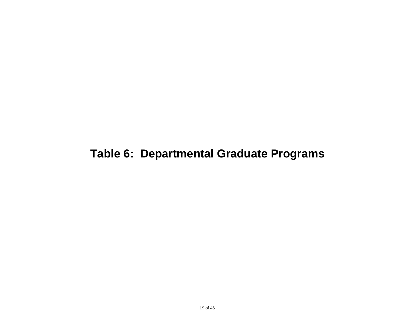# **Table 6: Departmental Graduate Programs**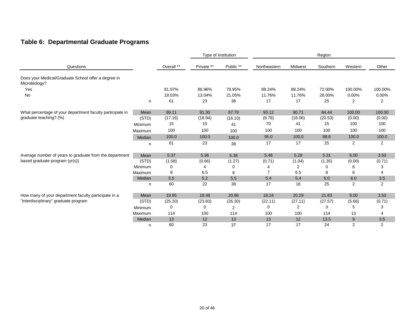### **Table 6: Departmental Graduate Programs**

|                                                                      |         |            | Type of Institution |                | Region         |         |          |         |         |
|----------------------------------------------------------------------|---------|------------|---------------------|----------------|----------------|---------|----------|---------|---------|
| Questions                                                            |         | Overall ** | Private **          | Public **      | Northeastern   | Midwest | Southern | Western | Other   |
| Does your Medical/Graduate School offer a degree in<br>Microbiology? |         |            |                     |                |                |         |          |         |         |
| Yes                                                                  |         | 81.97%     | 86.96%              | 78.95%         | 88.24%         | 88.24%  | 72.00%   | 100.00% | 100.00% |
| No                                                                   |         | 18.03%     | 13.04%              | 21.05%         | 11.76%         | 11.76%  | 28.00%   | 0.00%   | 0.00%   |
|                                                                      | n       | 61         | 23                  | 38             | 17             | 17      | 25       | 2       | 2       |
| What percentage of your department faculty participate in            | Mean    | 89.11      | 91.30               | 87.79          | 93.12          | 90.71   | 84.44    | 100.00  | 100.00  |
| graduate teaching? (%)                                               | (STD)   | (17.16)    | (18.94)             | (16.10)        | (8.78)         | (18.06) | (20.53)  | (0.00)  | (0.00)  |
|                                                                      | Minimum | 15         | 15                  | 41             | 70             | 41      | 15       | 100     | 100     |
|                                                                      | Maximum | 100        | 100                 | 100            | 100            | 100     | 100      | 100     | 100     |
|                                                                      | Median  | 100.0      | 100.0               | 100.0          | 95.0           | 100.0   | 88.6     | 100.0   | 100.0   |
|                                                                      | n       | 61         | 23                  | 38             | 17             | 17      | 25       | 2       | 2       |
| Average number of years to graduate from the department              | Mean    | 5.37       | 5.36                | 5.38           | 5.48           | 5.28    | 5.31     | 6.00    | 3.50    |
| based graduate program (yr(s)).                                      | (STD)   | (1.08)     | (0.66)              | (1.27)         | (0.71)         | (1.04)  | (1.35)   | (0.00)  | (0.71)  |
|                                                                      | Minimum | 0          |                     | 0              | 4              | 2       | 0        | 6       | 3       |
|                                                                      | Maximum | 8          | 6.5                 | 8              | $\overline{7}$ | 6.5     | 8        | 6       | 4       |
|                                                                      | Median  | 5.5        | 5.2                 | $5.5\,$        | 5.4            | 5.4     | 5.0      | 6.0     | 3.5     |
|                                                                      | n       | 60         | 22                  | 38             | 17             | 16      | 25       | 2       | 2       |
| How many of your department faculty participate in a                 | Mean    | 19.95      | 18.48               | 20.86          | 18.24          | 20.29   | 21.83    | 9.00    | 3.50    |
| "interdisciplinary" graduate program                                 | (STD)   | (25.20)    | (23.83)             | (26.30)        | (22.11)        | (27.11) | (27.57)  | (5.66)  | (0.71)  |
|                                                                      | Minimum | 0          | 0                   | $\overline{2}$ | 0              | 2       | 3        | 5       | 3       |
|                                                                      | Maximum | 114        | 100                 | 114            | 100            | 100     | 114      | 13      | 4       |
|                                                                      | Median  | 13         | 12                  | 13             | 13             | 12      | 13.5     | 9       | 3.5     |
|                                                                      | n       | 60         | 23                  | 37             | 17             | 17      | 24       | 2       | 2       |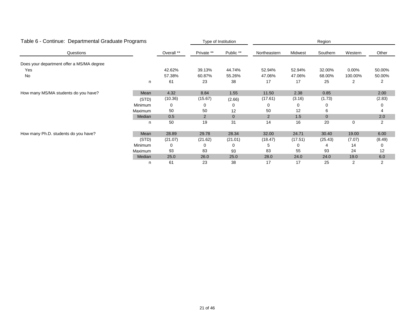| Table 6 - Continue: Departmental Graduate Programs |                |            |                | Type of Institution<br>Region |                |         |          |          |        |
|----------------------------------------------------|----------------|------------|----------------|-------------------------------|----------------|---------|----------|----------|--------|
| Questions                                          |                | Overall ** | Private **     | Public **                     | Northeastern   | Midwest | Southern | Western  | Other  |
| Does your department offer a MS/MA degree          |                |            |                |                               |                |         |          |          |        |
| Yes                                                |                | 42.62%     | 39.13%         | 44.74%                        | 52.94%         | 52.94%  | 32.00%   | $0.00\%$ | 50.00% |
| No                                                 |                | 57.38%     | 60.87%         | 55.26%                        | 47.06%         | 47.06%  | 68.00%   | 100.00%  | 50.00% |
|                                                    | n              | 61         | 23             | 38                            | 17             | 17      | 25       | 2        | 2      |
| How many MS/MA students do you have?               | Mean           | 4.32       | 8.84           | 1.55                          | 11.50          | 2.38    | 0.85     |          | 2.00   |
|                                                    | (STD)          | (10.36)    | (15.67)        | (2.66)                        | (17.61)        | (3.16)  | (1.73)   |          | (2.83) |
|                                                    | <b>Minimum</b> | 0          | 0              | 0                             | 0              | 0       | 0        |          | 0      |
|                                                    | Maximum        | 50         | 50             | 12                            | 50             | 12      | 6        |          | 4      |
|                                                    | Median         | 0.5        | $\overline{2}$ | $\overline{0}$                | $\overline{2}$ | 1.5     | $\Omega$ |          | 2.0    |
|                                                    | n              | 50         | 19             | 31                            | 14             | 16      | 20       | 0        | 2      |
| How many Ph.D. students do you have?               | Mean           | 28.89      | 29.78          | 28.34                         | 32.00          | 24.71   | 30.40    | 19.00    | 6.00   |
|                                                    | (STD)          | (21.07)    | (21.62)        | (21.01)                       | (18.47)        | (17.51) | (25.43)  | (7.07)   | (8.49) |
|                                                    | Minimum        | 0          |                | 0                             | 5              | 0       |          | 14       | 0      |
|                                                    | Maximum        | 93         | 83             | 93                            | 83             | 55      | 93       | 24       | 12     |
|                                                    | Median         | 25.0       | 26.0           | 25.0                          | 28.0           | 24.0    | 24.0     | 19.0     | 6.0    |
|                                                    | n              | 61         | 23             | 38                            | 17             | 17      | 25       | 2        | 2      |

#### 21 of 46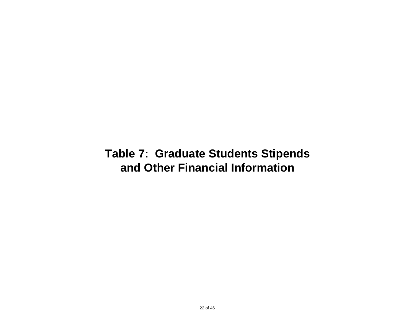### **Table 7: Graduate Students Stipends and Other Financial Information**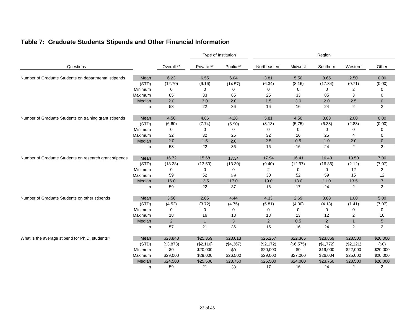|  |  |  |  |  |  | Table 7: Graduate Students Stipends and Other Financial Information |
|--|--|--|--|--|--|---------------------------------------------------------------------|
|--|--|--|--|--|--|---------------------------------------------------------------------|

|                                                        |         | Type of Institution |              | Region    |                |           |           |                |                 |
|--------------------------------------------------------|---------|---------------------|--------------|-----------|----------------|-----------|-----------|----------------|-----------------|
| Questions                                              |         | Overall **          | Private **   | Public ** | Northeastern   | Midwest   | Southern  | Western        | Other           |
| Number of Graduate Students on departmental stipends   | Mean    | 6.23                | 6.55         | 6.04      | 3.81           | 5.50      | 8.65      | 2.50           | 0.00            |
|                                                        | (STD)   | (12.70)             | (9.16)       | (14.57)   | (6.34)         | (8.16)    | (17.84)   | (0.71)         | (0.00)          |
|                                                        | Minimum | $\mathbf 0$         | 0            | 0         | $\mathbf 0$    | 0         | 0         | $\overline{c}$ | 0               |
|                                                        | Maximum | 85                  | 33           | 85        | 25             | 33        | 85        | 3              | 0               |
|                                                        | Median  | 2.0                 | 3.0          | 2.0       | 1.5            | 3.0       | 2.0       | 2.5            | $\mathbf 0$     |
|                                                        | n       | 58                  | 22           | 36        | 16             | 16        | 24        | 2              | 2               |
| Number of Graduate Students on training grant stipends | Mean    | 4.50                | 4.86         | 4.28      | 5.81           | 4.50      | 3.83      | 2.00           | 0.00            |
|                                                        | (STD)   | (6.60)              | (7.74)       | (5.90)    | (8.13)         | (5.75)    | (6.38)    | (2.83)         | (0.00)          |
|                                                        | Minimum | 0                   | 0            | 0         | 0              | 0         | 0         | 0              | 0               |
|                                                        | Maximum | 32                  | 32           | 25        | 32             | 16        | 25        | 4              | 0               |
|                                                        | Median  | 2.0                 | 1.5          | 2.0       | 2.5            | 0.5       | 1.0       | 2.0            | $\overline{0}$  |
|                                                        | n       | 58                  | 22           | 36        | 16             | 16        | 24        | 2              | 2               |
| Number of Graduate Students on research grant stipends | Mean    | 16.72               | 15.68        | 17.34     | 17.94          | 16.41     | 16.40     | 13.50          | 7.00            |
|                                                        | (STD)   | (13.28)             | (13.50)      | (13.30)   | (9.40)         | (12.97)   | (16.36)   | (2.12)         | (7.07)          |
|                                                        | Minimum | 0                   | 0            | 0         | $\overline{2}$ | 0         | 0         | 12             | 2               |
|                                                        | Maximum | 59                  | 52           | 59        | 30             | 52        | 59        | 15             | 12              |
|                                                        | Median  | 16.0                | 13.5         | 17.0      | 19.0           | 18.0      | 11.0      | 13.5           | $\overline{7}$  |
|                                                        | n       | 59                  | 22           | 37        | 16             | 17        | 24        | $\overline{2}$ | 2               |
| Number of Graduate Students on other stipends          | Mean    | 3.56                | 2.05         | 4.44      | 4.33           | 2.69      | 3.88      | 1.00           | 5.00            |
|                                                        | (STD)   | (4.52)              | (3.72)       | (4.75)    | (5.81)         | (4.00)    | (4.13)    | (1.41)         | (7.07)          |
|                                                        | Minimum | 0                   | 0            | 0         | 0              | 0         | 0         | 0              | 0               |
|                                                        | Maximum | 18                  | 16           | 18        | 18             | 13        | 12        | $\overline{c}$ | 10              |
|                                                        | Median  | 2                   | $\mathbf{1}$ | 3         | 2              | 0.5       | 2         | $\mathbf{1}$   | $5\phantom{.0}$ |
|                                                        | n       | 57                  | 21           | 36        | 15             | 16        | 24        | $\mathbf{2}$   | $\overline{2}$  |
| What is the average stipend for Ph.D. students?        | Mean    | \$23,848            | \$25,359     | \$23,013  | \$25,257       | \$22,365  | \$23,869  | \$23,500       | \$20,000        |
|                                                        | (STD)   | (\$3,873)           | (\$2,116)    | (\$4,367) | (\$2,172)      | (\$6,575) | (\$1,772) | (\$2,121)      | (\$0)           |
|                                                        | Minimum | \$0                 | \$20,000     | \$0       | \$20,000       | \$0       | \$19,000  | \$22,000       | \$20,000        |
|                                                        | Maximum | \$29,000            | \$29,000     | \$26,500  | \$29,000       | \$27,000  | \$26,004  | \$25,000       | \$20,000        |
|                                                        | Median  | \$24,500            | \$25,500     | \$23,750  | \$25,500       | \$24,000  | \$23,750  | \$23,500       | \$20,000        |
|                                                        | n       | 59                  | 21           | 38        | 17             | 16        | 24        | $\overline{2}$ | 2               |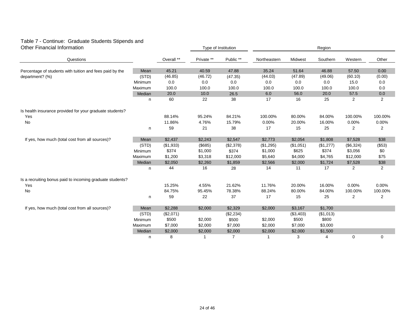#### Table 7 - Continue: Graduate Students Stipends and Other Financial Information Type of Institution

| <b>Other Financial Information</b>                        |         |             | Type of Institution |                | Region       |           |                |           |                |
|-----------------------------------------------------------|---------|-------------|---------------------|----------------|--------------|-----------|----------------|-----------|----------------|
| Questions                                                 |         | Overall **  | Private **          | Public **      | Northeastern | Midwest   | Southern       | Western   | Other          |
| Percentage of students with tuition and fees paid by the  | Mean    | 45.21       | 40.59               | 47.88          | 35.24        | 51.64     | 46.88          | 57.50     | 0.00           |
| department? (%)                                           | (STD)   | (46.85)     | (46.72)             | (47.35)        | (44.03)      | (47.89)   | (49.06)        | (60.10)   | (0.00)         |
|                                                           | Minimum | 0.0         | 0.0                 | 0.0            | 0.0          | 0.0       | 0.0            | 15.0      | 0.0            |
|                                                           | Maximum | 100.0       | 100.0               | 100.0          | 100.0        | 100.0     | 100.0          | 100.0     | 0.0            |
|                                                           | Median  | 20.0        | 10.0                | 26.5           | 6.0          | 56.0      | 20.0           | 57.5      | 0.0            |
|                                                           | n       | 60          | 22                  | 38             | 17           | 16        | 25             | 2         | $\overline{2}$ |
| Is health insurance provided for your graduate students?  |         |             |                     |                |              |           |                |           |                |
| Yes                                                       |         | 88.14%      | 95.24%              | 84.21%         | 100.00%      | 80.00%    | 84.00%         | 100.00%   | 100.00%        |
| No                                                        |         | 11.86%      | 4.76%               | 15.79%         | 0.00%        | 20.00%    | 16.00%         | 0.00%     | 0.00%          |
|                                                           | n       | 59          | 21                  | 38             | 17           | 15        | 25             | 2         | 2              |
| If yes, how much (total cost from all sources)?           | Mean    | \$2,437     | \$2,243             | \$2,547        | \$2,773      | \$2,054   | \$1,808        | \$7,528   | \$38           |
|                                                           | (STD)   | ( \$1, 933) | (\$685)             | (\$2,378)      | (\$1,295)    | (\$1,051) | (\$1,277)      | (\$6,324) | (\$53)         |
|                                                           | Minimum | \$374       | \$1,000             | \$374          | \$1,000      | \$625     | \$374          | \$3,056   | \$0            |
|                                                           | Maximum | \$1,200     | \$3,318             | \$12,000       | \$5,640      | \$4,000   | \$4,765        | \$12,000  | \$75           |
|                                                           | Median  | \$2,050     | \$2,260             | \$1,859        | \$2,566      | \$2,000   | \$1,724        | \$7,528   | \$38           |
|                                                           | n       | 44          | 16                  | 28             | 14           | 11        | 17             | 2         | $\overline{2}$ |
| Is a recruiting bonus paid to incoming graduate students? |         |             |                     |                |              |           |                |           |                |
| Yes                                                       |         | 15.25%      | 4.55%               | 21.62%         | 11.76%       | 20.00%    | 16.00%         | 0.00%     | 0.00%          |
| No                                                        |         | 84.75%      | 95.45%              | 78.38%         | 88.24%       | 80.00%    | 84.00%         | 100.00%   | 100.00%        |
|                                                           | n       | 59          | 22                  | 37             | 17           | 15        | 25             | 2         | $\overline{2}$ |
| If yes, how much (total cost from all sources)?           | Mean    | \$2,288     | \$2,000             | \$2,329        | \$2,000      | \$3,167   | \$1,700        |           |                |
|                                                           | (STD)   | (\$2,071)   |                     | (\$2,234)      |              | (\$3,403) | (\$1,013)      |           |                |
|                                                           | Minimum | \$500       | \$2,000             | \$500          | \$2,000      | \$500     | \$800          |           |                |
|                                                           | Maximum | \$7,000     | \$2,000             | \$7,000        | \$2,000      | \$7,000   | \$3,000        |           |                |
|                                                           | Median  | \$2,000     | \$2,000             | \$2,000        | \$2,000      | \$2,000   | \$1,500        |           |                |
|                                                           | n       | 8           |                     | $\overline{7}$ |              | 3         | $\overline{4}$ | 0         | 0              |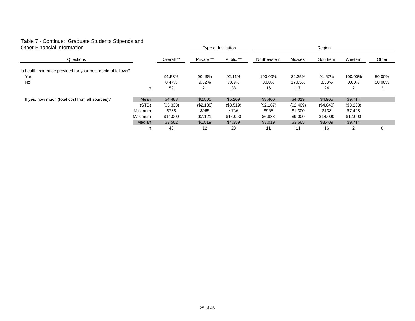#### Table 7 - Continue: Graduate Students Stipends and Other Financial Information

| Other Financial Information                                  |         |            | Type of Institution |           |              | Region    |           |           |        |  |  |
|--------------------------------------------------------------|---------|------------|---------------------|-----------|--------------|-----------|-----------|-----------|--------|--|--|
| Questions                                                    |         | Overall ** | Private **          | Public ** | Northeastern | Midwest   | Southern  | Western   | Other  |  |  |
| Is health insurance provided for your post-doctoral fellows? |         |            |                     |           |              |           |           |           |        |  |  |
| Yes                                                          |         | 91.53%     | 90.48%              | 92.11%    | 100.00%      | 82.35%    | 91.67%    | 100.00%   | 50.00% |  |  |
| <b>No</b>                                                    |         | 8.47%      | 9.52%               | 7.89%     | $0.00\%$     | 17.65%    | 8.33%     | $0.00\%$  | 50.00% |  |  |
|                                                              | n       | 59         | 21                  | 38        | 16           | 17        | 24        | 2         | 2      |  |  |
| If yes, how much (total cost from all sources)?              | Mean    | \$4,488    | \$2,805             | \$5,209   | \$3,400      | \$4,019   | \$4,905   | \$9,714   |        |  |  |
|                                                              | (STD)   | (\$3,333)  | (\$2,138)           | (\$3,519) | (\$2,167)    | (\$2,409) | (\$4,040) | (\$3,233) |        |  |  |
|                                                              | Minimum | \$738      | \$965               | \$738     | \$965        | \$1,300   | \$738     | \$7,428   |        |  |  |
|                                                              | Maximum | \$14,000   | \$7,121             | \$14,000  | \$6,883      | \$9,000   | \$14,000  | \$12,000  |        |  |  |
|                                                              | Median  | \$3,502    | \$1,819             | \$4,359   | \$3,019      | \$3,665   | \$3,409   | \$9,714   |        |  |  |
|                                                              | n       | 40         | 12                  | 28        | 11           | 11        | 16        | 2         | 0      |  |  |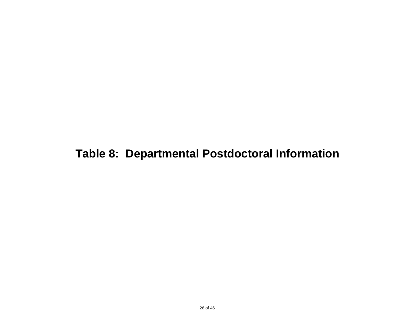# **Table 8: Departmental Postdoctoral Information**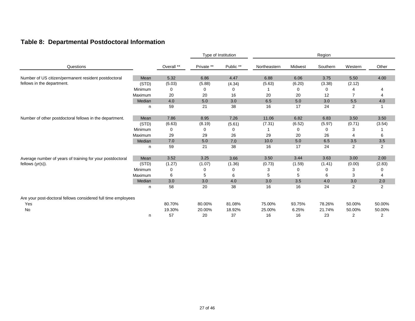### **Table 8: Departmental Postdoctoral Information**

|                                                               |         |            | Type of Institution |           |              | Region  |          |                |         |  |
|---------------------------------------------------------------|---------|------------|---------------------|-----------|--------------|---------|----------|----------------|---------|--|
| Questions                                                     |         | Overall ** | Private **          | Public ** | Northeastern | Midwest | Southern | Western        | Other   |  |
| Number of US citizen/permanent resident postdoctoral          | Mean    | 5.32       | 6.86                | 4.47      | 6.88         | 6.06    | 3.75     | 5.50           | 4.00    |  |
| fellows in the department.                                    | (STD)   | (5.03)     | (5.88)              | (4.34)    | (5.63)       | (6.20)  | (3.38)   | (2.12)         |         |  |
|                                                               | Minimum | 0          | 0                   | 0         |              | 0       | 0        |                |         |  |
|                                                               | Maximum | 20         | 20                  | 16        | 20           | 20      | 12       | 7              | 4       |  |
|                                                               | Median  | 4.0        | 5.0                 | 3.0       | 6.5          | 5.0     | 3.0      | 5.5            | 4.0     |  |
|                                                               | n       | 59         | 21                  | 38        | 16           | 17      | 24       | $\overline{2}$ |         |  |
| Number of other postdoctoral fellows in the department.       | Mean    | 7.86       | 8.95                | 7.26      | 11.06        | 6.82    | 6.83     | 3.50           | 3.50    |  |
|                                                               | (STD)   | (6.63)     | (8.19)              | (5.61)    | (7.31)       | (6.52)  | (5.97)   | (0.71)         | (3.54)  |  |
|                                                               | Minimum | 0          | 0                   | 0         |              | 0       | 0        | 3              |         |  |
|                                                               | Maximum | 29         | 29                  | 26        | 29           | 20      | 26       | 4              | 6       |  |
|                                                               | Median  | 7.0        | 5.0                 | 7.0       | 10.0         | 5.0     | 6.5      | 3.5            | $3.5\,$ |  |
|                                                               | n       | 59         | 21                  | 38        | 16           | 17      | 24       | 2              | 2       |  |
| Average number of years of training for your postdoctoral     | Mean    | 3.52       | 3.25                | 3.66      | 3.50         | 3.44    | 3.63     | 3.00           | 2.00    |  |
| fellows $(yr(s))$ .                                           | (STD)   | (1.27)     | (1.07)              | (1.36)    | (0.73)       | (1.59)  | (1.41)   | (0.00)         | (2.83)  |  |
|                                                               | Minimum | 0          | 0                   | 0         | 3            | 0       | 0        | 3              |         |  |
|                                                               | Maximum | 6          | 5                   | 6         | 5            | 5       | 6        | 3              | 4       |  |
|                                                               | Median  | 3.0        | 3.0                 | 4.0       | 3.0          | 3.5     | 4.0      | 3.0            | 2.0     |  |
|                                                               | n       | 58         | 20                  | 38        | 16           | 16      | 24       | 2              | 2       |  |
| Are your post-doctoral fellows considered full time employees |         |            |                     |           |              |         |          |                |         |  |
| Yes                                                           |         | 80.70%     | 80.00%              | 81.08%    | 75.00%       | 93.75%  | 78.26%   | 50.00%         | 50.00%  |  |
| No                                                            |         | 19.30%     | 20.00%              | 18.92%    | 25.00%       | 6.25%   | 21.74%   | 50.00%         | 50.00%  |  |
|                                                               | n       | 57         | 20                  | 37        | 16           | 16      | 23       | 2              | 2       |  |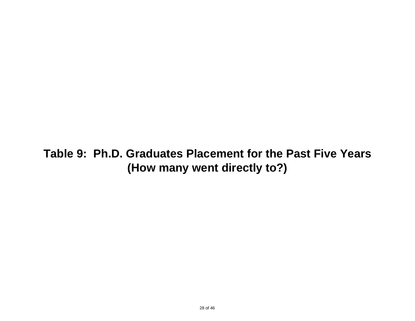# **Table 9: Ph.D. Graduates Placement for the Past Five Years (How many went directly to?)**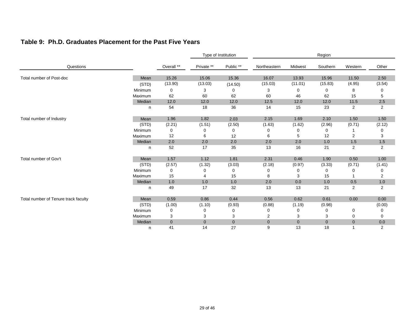#### **Table 9: Ph.D. Graduates Placement for the Past Five Years**

|                                      |         |             |                | Type of Institution |              |                | Region         |                |                |
|--------------------------------------|---------|-------------|----------------|---------------------|--------------|----------------|----------------|----------------|----------------|
| Questions                            |         | Overall **  | Private **     | Public **           | Northeastern | Midwest        | Southern       | Western        | Other          |
| Total number of Post-doc             | Mean    | 15.26       | 15.06          | 15.36               | 16.07        | 13.93          | 15.96          | 11.50          | 2.50           |
|                                      | (STD)   | (13.90)     | (13.03)        | (14.50)             | (15.03)      | (11.01)        | (15.83)        | (4.95)         | (3.54)         |
|                                      | Minimum | 0           | 3              | 0                   | 3            | 0              | 0              | 8              | 0              |
|                                      | Maximum | 62          | 60             | 62                  | 60           | 46             | 62             | 15             | 5              |
|                                      | Median  | 12.0        | 12.0           | 12.0                | 12.5         | 12.0           | 12.0           | 11.5           | 2.5            |
|                                      | n       | 54          | 18             | 36                  | 14           | 15             | 23             | $\overline{2}$ | 2              |
| Total number of Industry             | Mean    | 1.96        | 1.82           | 2.03                | 2.15         | 1.69           | 2.10           | 1.50           | 1.50           |
|                                      | (STD)   | (2.21)      | (1.51)         | (2.50)              | (1.63)       | (1.62)         | (2.96)         | (0.71)         | (2.12)         |
|                                      | Minimum | 0           |                | 0                   | 0            | 0              | 0              |                | 0              |
|                                      | Maximum | 12          | 6              | 12                  | 6            | 5              | 12             | 2              | 3              |
|                                      | Median  | 2.0         | 2.0            | 2.0                 | 2.0          | 2.0            | 1.0            | 1.5            | 1.5            |
|                                      | n       | 52          | 17             | 35                  | 13           | 16             | 21             | $\overline{2}$ | $\overline{2}$ |
| Total number of Gov't                | Mean    | 1.57        | 1.12           | 1.81                | 2.31         | 0.46           | 1.90           | 0.50           | 1.00           |
|                                      | (STD)   | (2.57)      | (1.32)         | (3.03)              | (2.18)       | (0.97)         | (3.33)         | (0.71)         | (1.41)         |
|                                      | Minimum | 0           | 0              | 0                   | 0            | 0              | 0              | 0              | 0              |
|                                      | Maximum | 15          | 4              | 15                  | 8            | 3              | 15             |                | 2              |
|                                      | Median  | 1.0         | 1.0            | 1.0                 | 2.0          | 0.0            | 1.0            | 0.5            | 1.0            |
|                                      | n       | 49          | 17             | 32                  | 13           | 13             | 21             | $\overline{2}$ | 2              |
| Total number of Tenure track faculty | Mean    | 0.59        | 0.86           | 0.44                | 0.56         | 0.62           | 0.61           | 0.00           | 0.00           |
|                                      | (STD)   | (1.00)      | (1.10)         | (0.93)              | (0.88)       | (1.19)         | (0.98)         |                | (0.00)         |
|                                      | Minimum | 0           |                | 0                   | 0            | ∩              | 0              | 0              | 0              |
|                                      | Maximum | 3           | 3              | 3                   | 2            | 3              | 3              | 0              | 0              |
|                                      | Median  | $\mathbf 0$ | $\overline{0}$ | $\mathbf 0$         | $\mathbf{0}$ | $\overline{0}$ | $\overline{0}$ | $\mathbf 0$    | 0.0            |
|                                      | n       | 41          | 14             | 27                  | 9            | 13             | 18             | $\overline{1}$ | $\overline{2}$ |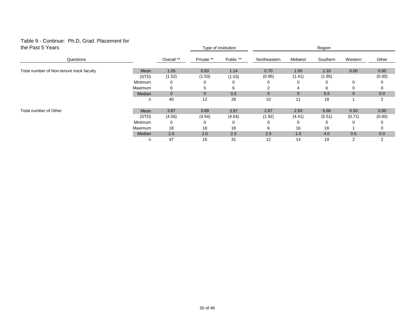#### Table 9 - Continue: Ph.D. Grad. Placement for the Past 5 Years

| the Past 5 Years                         |         |              | Type of Institution |           | Region         |                |          |             |        |
|------------------------------------------|---------|--------------|---------------------|-----------|----------------|----------------|----------|-------------|--------|
| Questions                                |         | Overall **   | Private **          | Public ** | Northeastern   | Midwest        | Southern | Western     | Other  |
| Total number of Non-tenure track faculty | Mean    | 1.05         | 0.83                | 1.14      | 0.70           | 1.00           | 1.33     | 0.00        | 0.00   |
|                                          | (STD)   | (1.52)       | (1.53)              | (1.53)    | (0.95)         | (1.41)         | (1.85)   |             | (0.00) |
|                                          | Minimum | 0            | 0                   | $\Omega$  |                |                | ∩        | 0           | 0      |
|                                          | Maximum | 6            | 5                   | 6         | 2              | 4              | 6        | $\Omega$    | 0      |
|                                          | Median  | $\mathbf{0}$ | $\mathbf{0}$        | 0.5       | $\overline{0}$ | $\overline{0}$ | 0.5      | $\mathbf 0$ | 0.0    |
|                                          | n       | 40           | 12                  | 28        | 10             | 11             | 18       |             | 2      |
| Total number of Other                    | Mean    | 3.87         | 3.69                | 3.97      | 2.67           | 2.93           | 5.68     | 0.50        | 0.00   |
|                                          | (STD)   | (4.56)       | (4.54)              | (4.64)    | (1.92)         | (4.41)         | (5.51)   | (0.71)      | (0.00) |
|                                          | Minimum | 0            | 0                   | $\Omega$  |                |                | ∩        | $\Omega$    | 0      |
|                                          | Maximum | 18           | 18                  | 18        | 6              | 16             | 18       |             | 0      |
|                                          | Median  | 2.0          | 2.0                 | 2.0       | 2.5            | 1.0            | 4.0      | 0.5         | 0.0    |
|                                          | n       | 47           | 16                  | 31        | 12             | 14             | 19       | 2           | 2      |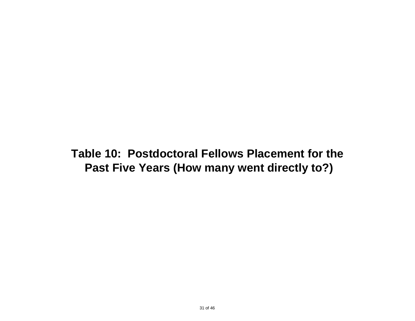**Table 10: Postdoctoral Fellows Placement for the Past Five Years (How many went directly to?)**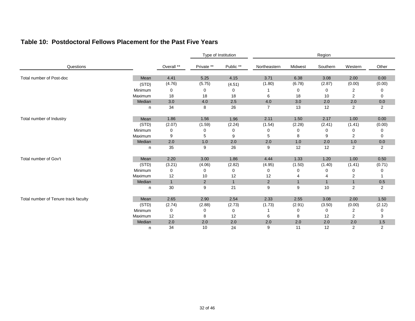#### **Table 10: Postdoctoral Fellows Placement for the Past Five Years**

|                                      |         |              | Type of Institution |              | Region         |              |              |                |                |
|--------------------------------------|---------|--------------|---------------------|--------------|----------------|--------------|--------------|----------------|----------------|
| Questions                            |         | Overall **   | Private **          | Public **    | Northeastern   | Midwest      | Southern     | Western        | Other          |
| Total number of Post-doc             | Mean    | 4.41         | 5.25                | 4.15         | 3.71           | 6.38         | 3.08         | 2.00           | 0.00           |
|                                      | (STD)   | (4.76)       | (5.75)              | (4.51)       | (1.80)         | (6.78)       | (2.87)       | (0.00)         | (0.00)         |
|                                      | Minimum | 0            | 0                   | 0            |                | 0            | 0            | 2              | 0              |
|                                      | Maximum | 18           | 18                  | 18           | 6              | 18           | 10           | 2              | 0              |
|                                      | Median  | 3.0          | 4.0                 | 2.5          | 4.0            | 3.0          | 2.0          | 2.0            | 0.0            |
|                                      | n       | 34           | 8                   | 26           | 7              | 13           | 12           | $\overline{2}$ | 2              |
| Total number of Industry             | Mean    | 1.86         | 1.56                | 1.96         | 2.11           | 1.50         | 2.17         | 1.00           | 0.00           |
|                                      | (STD)   | (2.07)       | (1.59)              | (2.24)       | (1.54)         | (2.28)       | (2.41)       | (1.41)         | (0.00)         |
|                                      | Minimum | 0            |                     | 0            | 0              | 0            | 0            | 0              | 0              |
|                                      | Maximum | 9            | 5                   | 9            | 5              | 8            | 9            | 2              | 0              |
|                                      | Median  | 2.0          | 1.0                 | 2.0          | 2.0            | 1.0          | 2.0          | 1.0            | 0.0            |
|                                      | n       | 35           | 9                   | 26           | 9              | 12           | 12           | $\overline{2}$ | $\overline{2}$ |
| Total number of Gov't                | Mean    | 2.20         | 3.00                | 1.86         | 4.44           | 1.33         | 1.20         | 1.00           | 0.50           |
|                                      | (STD)   | (3.21)       | (4.06)              | (2.82)       | (4.95)         | (1.50)       | (1.40)       | (1.41)         | (0.71)         |
|                                      | Minimum | 0            | 0                   | 0            | 0              | 0            | 0            | 0              | 0              |
|                                      | Maximum | 12           | 10                  | 12           | 12             |              | 4            | 2              |                |
|                                      | Median  | $\mathbf{1}$ | $\overline{2}$      | $\mathbf{1}$ | $\overline{2}$ | $\mathbf{1}$ | $\mathbf{1}$ | $\mathbf{1}$   | 0.5            |
|                                      | n       | 30           | 9                   | 21           | 9              | 9            | 10           | $\overline{2}$ | $\overline{2}$ |
| Total number of Tenure track faculty | Mean    | 2.65         | 2.90                | 2.54         | 2.33           | 2.55         | 3.08         | 2.00           | 1.50           |
|                                      | (STD)   | (2.74)       | (2.88)              | (2.73)       | (1.73)         | (2.91)       | (3.50)       | (0.00)         | (2.12)         |
|                                      | Minimum | 0            |                     | 0            |                | 0            | 0            | 2              | 0              |
|                                      | Maximum | 12           | 8                   | 12           | 6              | 8            | 12           | 2              | 3              |
|                                      | Median  | 2.0          | 2.0                 | 2.0          | 2.0            | 2.0          | 2.0          | 2.0            | 1.5            |
|                                      | n       | 34           | 10                  | 24           | 9              | 11           | 12           | 2              | $\overline{2}$ |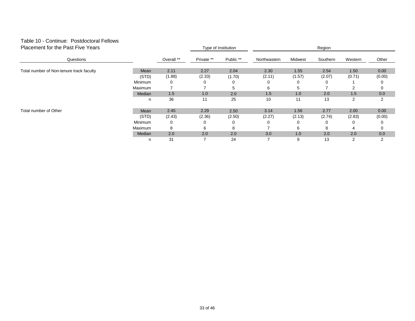#### Table 10 - Continue: Postdoctoral Fellows Placement for the Past Five Years

| Placement for the Past Five Years        |                |            |            | Type of Institution | Region       |         |          |         |                |  |
|------------------------------------------|----------------|------------|------------|---------------------|--------------|---------|----------|---------|----------------|--|
| Questions                                |                | Overall ** | Private ** | Public **           | Northeastern | Midwest | Southern | Western | Other          |  |
| Total number of Non-tenure track faculty | Mean           | 2.11       | 2.27       | 2.04                | 2.30         | 1.55    | 2.54     | 1.50    | 0.00           |  |
|                                          | (STD)          | (1.88)     | (2.33)     | (1.70)              | (2.11)       | (1.57)  | (2.07)   | (0.71)  | (0.00)         |  |
|                                          | Minimum        | 0          |            |                     |              |         |          |         | 0              |  |
|                                          | Maximum        |            |            |                     | 6            |         |          | 2       | $\Omega$       |  |
|                                          | Median         | 1.5        | 1.0        | 2.0                 | 1.5          | 1.0     | 2.0      | 1.5     | 0.0            |  |
|                                          | n              | 36         | 11         | 25                  | 10           | 11      | 13       | 2       | $\overline{2}$ |  |
| Total number of Other                    | Mean           | 2.45       | 2.29       | 2.50                | 3.14         | 1.56    | 2.77     | 2.00    | 0.00           |  |
|                                          | (STD)          | (2.43)     | (2.36)     | (2.50)              | (2.27)       | (2.13)  | (2.74)   | (2.83)  | (0.00)         |  |
|                                          | Minimum        | 0          | O          | 0                   |              | O       |          | 0       | 0              |  |
|                                          | <b>Maximum</b> | 8          | 6          | 8                   |              | 6       | 8        | 4       | 0              |  |
|                                          | Median         | 2.0        | 2.0        | 2.0                 | 3.0          | 1.0     | 2.0      | 2.0     | 0.0            |  |
|                                          | n              | 31         |            | 24                  |              | 9       | 13       | 2       | 2              |  |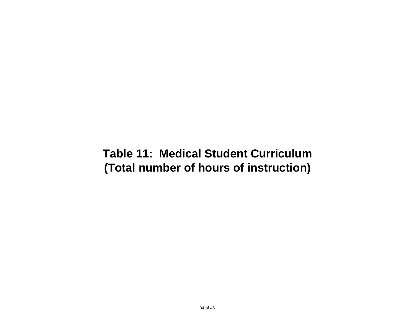# **Table 11: Medical Student Curriculum (Total number of hours of instruction)**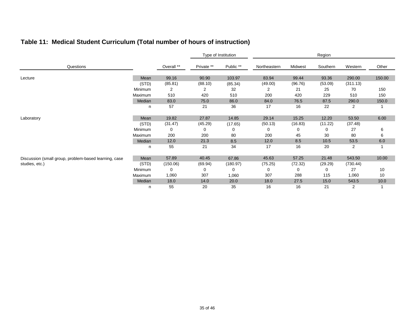### **Table 11: Medical Student Curriculum (Total number of hours of instruction)**

|                                                       |         |            | Type of Institution |           | Region       |         |          |                |        |
|-------------------------------------------------------|---------|------------|---------------------|-----------|--------------|---------|----------|----------------|--------|
| Questions                                             |         | Overall ** | Private **          | Public ** | Northeastern | Midwest | Southern | Western        | Other  |
| Lecture                                               | Mean    | 99.16      | 90.90               | 103.97    | 83.94        | 99.44   | 93.36    | 290.00         | 150.00 |
|                                                       | (STD)   | (85.81)    | (88.10)             | (85.34)   | (49.00)      | (96.76) | (53.09)  | (311.13)       |        |
|                                                       | Minimum | 2          | 2                   | 32        | 2            | 21      | 25       | 70             | 150    |
|                                                       | Maximum | 510        | 420                 | 510       | 200          | 420     | 229      | 510            | 150    |
|                                                       | Median  | 83.0       | 75.0                | 86.0      | 84.0         | 76.5    | 87.5     | 290.0          | 150.0  |
|                                                       | n       | 57         | 21                  | 36        | 17           | 16      | 22       | $\overline{2}$ |        |
| Laboratory                                            | Mean    | 19.82      | 27.87               | 14.85     | 29.14        | 15.25   | 12.20    | 53.50          | 6.00   |
|                                                       | (STD)   | (31.47)    | (45.29)             | (17.65)   | (50.13)      | (16.83) | (11.22)  | (37.48)        |        |
|                                                       | Minimum | 0          |                     | 0         | 0            | 0       | 0        | 27             | 6      |
|                                                       | Maximum | 200        | 200                 | 80        | 200          | 45      | 30       | 80             | 6      |
|                                                       | Median  | 12.0       | 21.3                | 8.5       | 12.0         | 8.5     | 10.5     | 53.5           | 6.0    |
|                                                       | n       | 55         | 21                  | 34        | 17           | 16      | 20       | $\overline{2}$ |        |
| Discussion (small group, problem-based learning, case | Mean    | 57.89      | 40.45               | 67.86     | 45.63        | 57.25   | 21.48    | 543.50         | 10.00  |
| studies, etc.)                                        | (STD)   | (150.06)   | (69.94)             | (180.97)  | (75.25)      | (72.32) | (29.29)  | (730.44)       |        |
|                                                       | Minimum | 0          | 0                   | 0         | 0            | 0       | 0        | 27             | 10     |
|                                                       | Maximum | 1,060      | 307                 | 1,060     | 307          | 288     | 115      | 1,060          | 10     |
|                                                       | Median  | 18.0       | 14.0                | 20.0      | 18.0         | 27.5    | 15.0     | 543.5          | 10.0   |
|                                                       | n       | 55         | 20                  | 35        | 16           | 16      | 21       | 2              |        |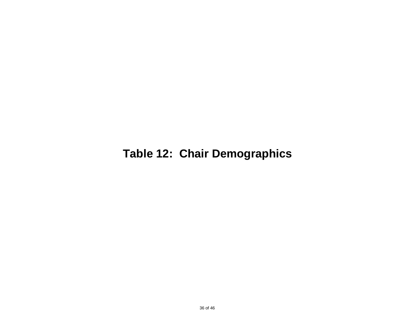# **Table 12: Chair Demographics**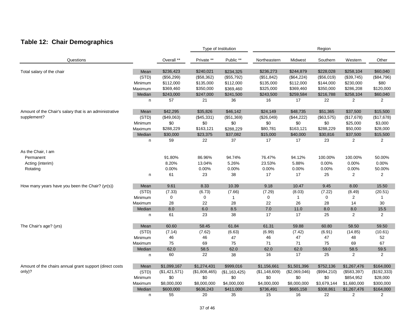### **Table 12: Chair Demographics**

|                                                         |         |               |               | Type of Institution |               |               | Region      |                         |                |
|---------------------------------------------------------|---------|---------------|---------------|---------------------|---------------|---------------|-------------|-------------------------|----------------|
| Questions                                               |         | Overall **    | Private **    | Public **           | Northeastern  | Midwest       | Southern    | Western                 | Other          |
| Total salary of the chair                               | Mean    | \$236,423     | \$240,021     | \$234,325           | \$236,273     | \$244,879     | \$228,028   | \$258,104               | \$60,040       |
|                                                         | (STD)   | (\$56,299)    | (\$58,362)    | (\$55,792)          | (\$51,842)    | (\$64,224)    | (\$56,019)  | (\$39,745)              | (\$84,796)     |
|                                                         | Minimum | \$112,000     | \$135,000     | \$112,000           | \$135,000     | \$112,000     | \$144,000   | \$230,000               | \$80           |
|                                                         | Maximum | \$369,460     | \$350,000     | \$369,460           | \$325,000     | \$369,460     | \$350,000   | \$286,208               | \$120,000      |
|                                                         | Median  | \$243,000     | \$247,000     | \$241,500           | \$243,500     | \$259,584     | \$216,788   | \$258,104               | \$60,040       |
|                                                         | n       | 57            | 21            | 36                  | 16            | 17            | 22          | 2                       | $\overline{2}$ |
| Amount of the Chair's salary that is an administrative  | Mean    | \$42,295      | \$35,826      | \$46,142            | \$24,149      | \$48,735      | \$51,365    | \$37,500                | \$15,500       |
| supplement?                                             | (STD)   | (\$49,063)    | (\$45,331)    | (\$51,369)          | (\$26,049)    | (\$44,222)    | (\$63,575)  | (\$17,678)              | (\$17,678)     |
|                                                         | Minimum | \$0           | \$0           | \$0                 | \$0           | \$0           | \$0         | \$25,000                | \$3,000        |
|                                                         | Maximum | \$288,229     | \$163,121     | \$288,229           | \$80,781      | \$163,121     | \$288,229   | \$50,000                | \$28,000       |
|                                                         | Median  | \$30,000      | \$23,375      | \$37,082            | \$15,000      | \$40,000      | \$30,816    | \$37,500                | \$15,500       |
|                                                         | n       | 59            | 22            | 37                  | 17            | 17            | 23          | $\overline{2}$          | $\overline{2}$ |
| As the Chair, I am                                      |         |               |               |                     |               |               |             |                         |                |
| Permanent                                               |         | 91.80%        | 86.96%        | 94.74%              | 76.47%        | 94.12%        | 100.00%     | 100.00%                 | 50.00%         |
| Acting (interim)                                        |         | 8.20%         | 13.04%        | 5.26%               | 23.53%        | 5.88%         | 0.00%       | 0.00%                   | 0.00%          |
| Rotating                                                |         | 0.00%         | 0.00%         | 0.00%               | 0.00%         | 0.00%         | 0.00%       | 0.00%                   | 50.00%         |
|                                                         | n       | 61            | 23            | 38                  | 17            | 17            | 25          | $\overline{2}$          | $\overline{c}$ |
| How many years have you been the Chair? (yr(s))         | Mean    | 9.61          | 8.33          | 10.39               | 9.18          | 10.47         | 9.45        | 8.00                    | 15.50          |
|                                                         | (STD)   | (7.33)        | (6.73)        | (7.66)              | (7.29)        | (8.03)        | (7.22)      | (8.49)                  | (20.51)        |
|                                                         | Minimum | 0             | 0             | $\mathbf{1}$        | 0             | $\mathbf{1}$  | 0           | $\overline{2}$          | 1              |
|                                                         | Maximum | 28            | 22            | 28                  | 22            | 26            | 28          | 14                      | 30             |
|                                                         | Median  | 8.0           | 6.0           | 8.5                 | $7.0\,$       | 11.0          | 8.0         | 8.0                     | 15.5           |
|                                                         | n       | 61            | 23            | 38                  | 17            | 17            | 25          | 2                       | $\overline{2}$ |
| The Chair's age? (yrs)                                  | Mean    | 60.60         | 58.45         | 61.84               | 61.31         | 59.88         | 60.80       | 58.50                   | 59.50          |
|                                                         | (STD)   | (7.14)        | (7.62)        | (6.63)              | (6.99)        | (7.42)        | (6.91)      | (14.85)                 | (10.61)        |
|                                                         | Minimum | 46            | 46            | 47                  | 46            | 47            | 47          | 48                      | 52             |
|                                                         | Maximum | 75            | 69            | 75                  | 71            | 71            | 75          | 69                      | 67             |
|                                                         | Median  | 62.0          | 58.5          | 62.0                | 62.0          | 62.0          | 59.0        | 58.5                    | 59.5           |
|                                                         | n       | 60            | 22            | 38                  | 16            | 17            | 25          | $\overline{\mathbf{c}}$ | 2              |
| Amount of the chairs annual grant support (direct costs | Mean    | \$1,099,167   | \$1,274,431   | \$999,016           | \$1,156,661   | \$1,501,396   | \$752,136   | \$1,267,476             | \$164,000      |
| only)?                                                  | (STD)   | (\$1,421,571) | (\$1,808,465) | (\$1,163,425)       | (\$1,148,609) | (\$2,069,046) | (\$994,210) | (\$583,397)             | (\$192,333)    |
|                                                         | Minimum | \$0           | \$0           | \$0                 | \$0           | \$0           | \$0         | \$854,952               | \$28,000       |
|                                                         | Maximum | \$8,000,000   | \$8,000,000   | \$4,000,000         | \$4,000,000   | \$8,000,000   | \$3,679,144 | \$1,680,000             | \$300,000      |
|                                                         | Median  | \$600,000     | \$636,243     | \$411,000           | \$736,491     | \$665,158     | \$308,861   | \$1,267,476             | \$164,000      |
|                                                         | n       | 55            | 20            | 35                  | 15            | 16            | 22          | 2                       | 2              |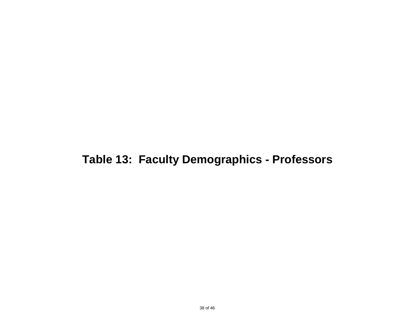# **Table 13: Faculty Demographics - Professors**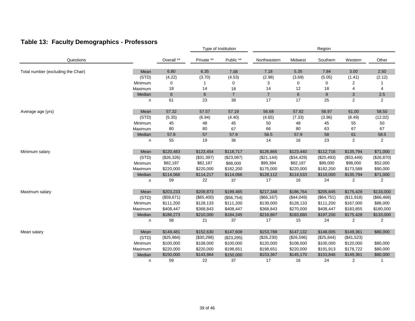### **Table 13: Faculty Demographics - Professors**

|                                    |         |                |                | Type of Institution |                | Region     |            |            |                |  |
|------------------------------------|---------|----------------|----------------|---------------------|----------------|------------|------------|------------|----------------|--|
| Questions                          |         | Overall **     | Private **     | Public **           | Northeastern   | Midwest    | Southern   | Western    | Other          |  |
| Total number (excluding the Chair) | Mean    | 6.80           | 6.35           | 7.08                | 7.18           | 5.35       | 7.84       | 3.00       | 2.50           |  |
|                                    | (STD)   | (4.22)         | (3.70)         | (4.53)              | (2.98)         | (3.69)     | (5.05)     | (1.41)     | (2.12)         |  |
|                                    | Minimum | 0              | 1              | 0                   | 3              | 0          | 0          | 2          |                |  |
|                                    | Maximum | 18             | 14             | 18                  | 14             | 12         | 18         | 4          | 4              |  |
|                                    | Median  | $6\phantom{.}$ | $6\phantom{1}$ | $\overline{7}$      | $\overline{7}$ | 6          | 8          | 3          | 2.5            |  |
|                                    | n       | 61             | 23             | 38                  | 17             | 17         | 25         | 2          | $\overline{2}$ |  |
| Average age (yrs)                  | Mean    | 57.32          | 57.57          | 57.19               | 56.68          | 57.92      | 56.97      | 61.00      | 58.50          |  |
|                                    | (STD)   | (5.35)         | (6.94)         | (4.40)              | (4.65)         | (7.33)     | (3.96)     | (8.49)     | (12.02)        |  |
|                                    | Minimum | 45             | 48             | 45                  | 50             | 48         | 45         | 55         | 50             |  |
|                                    | Maximum | 80             | 80             | 67                  | 66             | 80         | 63         | 67         | 67             |  |
|                                    | Median  | 57.8           | 57             | 57.9                | 56.5           | 57.9       | 58         | 61         | 58.5           |  |
|                                    | n       | 55             | 19             | 36                  | 14             | 16         | 23         | 2          | $\overline{2}$ |  |
| Minimum salary                     | Mean    | \$120,483      | \$123,454      | \$118,717           | \$126,865      | \$123,440  | \$112,716  | \$135,794  | \$71,000       |  |
|                                    | (STD)   | (\$26,326)     | (\$31,397)     | (\$23,087)          | (\$21,144)     | (\$34,429) | (\$20,493) | (\$53,449) | (\$26,870)     |  |
|                                    | Minimum | \$82,187       | \$82,187       | \$88,000            | \$99,384       | \$82,187   | \$89,000   | \$98,000   | \$52,000       |  |
|                                    | Maximum | \$220,000      | \$220,000      | \$182,200           | \$175,000      | \$220,000  | \$182,200  | \$173,588  | \$90,000       |  |
|                                    | Median  | \$114,066      | \$114,217      | \$114,066           | \$128,112      | \$114,533  | \$110,000  | \$135,794  | \$71,000       |  |
|                                    | n       | 59             | 22             | 37                  | 17             | 16         | 24         | 2          | 2              |  |
| Maximum salary                     | Mean    | \$203,233      | \$209,873      | \$199,465           | \$217,348      | \$186,764  | \$205,845  | \$175,428  | \$133,000      |  |
|                                    | (STD)   | (\$59,671)     | (\$65,400)     | (\$56,754)          | (\$66,167)     | (\$44,049) | (\$64,751) | (\$11,918) | (\$66,468)     |  |
|                                    | Minimum | \$111,200      | \$128,133      | \$111,200           | \$139,000      | \$128,133  | \$111,200  | \$167,000  | \$86,000       |  |
|                                    | Maximum | \$408,447      | \$368,843      | \$408,447           | \$368,843      | \$270,000  | \$408,447  | \$183,855  | \$180,000      |  |
|                                    | Median  | \$188,273      | \$210,000      | \$184,245           | \$216,867      | \$183,680  | \$197,200  | \$175,428  | \$133,000      |  |
|                                    | n       | 58             | 21             | 37                  | 17             | 15         | 24         | 2          | 2              |  |
| Mean salary                        | Mean    | \$149,481      | \$152,630      | \$147,608           | \$153,788      | \$147,132  | \$148,005  | \$149,361  | \$80,000       |  |
|                                    | (STD)   | (\$25,984)     | (\$30,298)     | (\$23,295)          | (\$26,230)     | (\$26,596) | (\$25,844) | (\$41,523) |                |  |
|                                    | Minimum | \$100,000      | \$108,000      | \$100,000           | \$120,000      | \$108,000  | \$100,000  | \$120,000  | \$80,000       |  |
|                                    | Maximum | \$220,000      | \$220,000      | \$198,651           | \$198,651      | \$220,000  | \$191,913  | \$178,722  | \$80,000       |  |
|                                    | Median  | \$150,000      | \$143,964      | \$150,000           | \$153,367      | \$145,170  | \$153,846  | \$149,361  | \$80,000       |  |
|                                    | n       | 59             | 22             | 37                  | 17             | 16         | 24         | 2          | $\mathbf 1$    |  |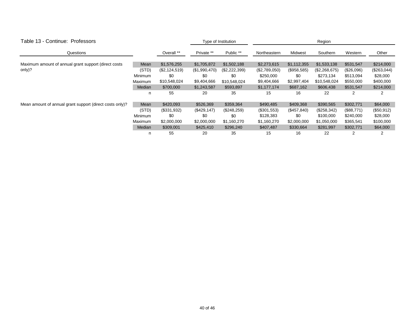| Table 13 - Continue: Professors                          |                |               | Type of Institution |               | Region        |             |               |            |             |
|----------------------------------------------------------|----------------|---------------|---------------------|---------------|---------------|-------------|---------------|------------|-------------|
| Questions                                                |                | Overall **    | Private **          | Public **     | Northeastern  | Midwest     | Southern      | Western    | Other       |
| Maximum amount of annual grant support (direct costs     | Mean           | \$1,576,255   | \$1,705,872         | \$1,502,188   | \$2,273,615   | \$1,112,355 | \$1,533,138   | \$531,547  | \$214,000   |
| only)?                                                   | (STD)          | (\$2,124,519) | (\$1,990,470)       | (\$2,222,399) | (\$2,789,050) | (\$958,585) | (\$2,268,675) | (\$26,096) | (\$263,044) |
|                                                          | <b>Minimum</b> | \$0           | \$0                 | \$0           | \$250,000     | \$0         | \$273,134     | \$513,094  | \$28,000    |
|                                                          | Maximum        | \$10,548,024  | \$9,404,666         | \$10,548,024  | \$9,404,666   | \$2,997,404 | \$10,548,024  | \$550,000  | \$400,000   |
|                                                          | Median         | \$700,000     | \$1,243,587         | \$593,897     | \$1,177,174   | \$687,162   | \$606,438     | \$531,547  | \$214,000   |
|                                                          | n              | 55            | -20                 | 35            | 15            | 16          | 22            | 2          | 2           |
| Mean amount of annual grant support (direct costs only)? | Mean           | \$420,093     | \$526,369           | \$359,364     | \$490,485     | \$409,368   | \$390,565     | \$302,771  | \$64,000    |
|                                                          | (STD)          | (\$331,932)   | (\$429,147)         | (\$248,259)   | $(\$301,553)$ | (\$457,840) | (\$258,342)   | (\$88,771) | (\$50,912)  |
|                                                          | <b>Minimum</b> | \$0           | \$0                 | \$0           | \$128,383     | \$0         | \$100,000     | \$240,000  | \$28,000    |
|                                                          | Maximum        | \$2,000,000   | \$2,000,000         | \$1,160,270   | \$1,160,270   | \$2,000,000 | \$1,050,000   | \$365,541  | \$100,000   |
|                                                          | Median         | \$309,001     | \$425,410           | \$296,240     | \$407,487     | \$330,664   | \$281,997     | \$302,771  | \$64,000    |
|                                                          | n              | 55            | 20                  | 35            | 15            | 16          | 22            | 2          |             |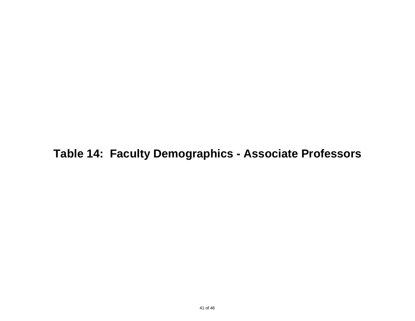**Table 14: Faculty Demographics - Associate Professors**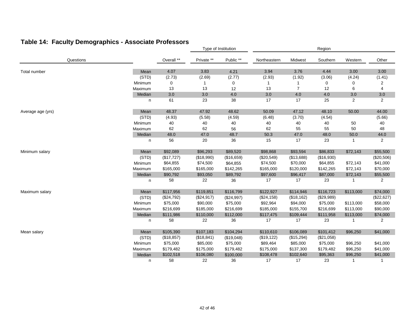### **Table 14: Faculty Demographics - Associate Professors**

|                   |         |            |            | Type of Institution |              | Region         |             |              |                |  |
|-------------------|---------|------------|------------|---------------------|--------------|----------------|-------------|--------------|----------------|--|
| Questions         |         | Overall ** | Private ** | Public **           | Northeastern | Midwest        | Southern    | Western      | Other          |  |
| Total number      | Mean    | 4.07       | 3.83       | 4.21                | 3.94         | 3.76           | 4.44        | 3.00         | 3.00           |  |
|                   | (STD)   | (2.73)     | (2.69)     | (2.77)              | (2.93)       | (1.92)         | (3.06)      | (4.24)       | (1.41)         |  |
|                   | Minimum | 0          |            | 0                   | -1           |                | $\mathbf 0$ | 0            | 2              |  |
|                   | Maximum | 13         | 13         | 12                  | 13           | $\overline{7}$ | 12          | 6            | 4              |  |
|                   | Median  | 3.0        | 3.0        | $4.0\,$             | $3.0\,$      | 4.0            | 4.0         | 3.0          | 3.0            |  |
|                   | n       | 61         | 23         | 38                  | 17           | 17             | 25          | 2            | $\overline{2}$ |  |
| Average age (yrs) | Mean    | 48.37      | 47.92      | 48.62               | 50.09        | 47.12          | 48.10       | 50.00        | 44.00          |  |
|                   | (STD)   | (4.93)     | (5.58)     | (4.59)              | (6.48)       | (3.70)         | (4.54)      |              | (5.66)         |  |
|                   | Minimum | 40         | 40         | 40                  | $40\,$       | $40\,$         | 40          | 50           | 40             |  |
|                   | Maximum | 62         | 62         | 56                  | 62           | 55             | 55          | 50           | 48             |  |
|                   | Median  | 48.0       | 47.0       | 48.7                | 50.3         | 47.0           | 48.0        | 50.0         | 44.0           |  |
|                   | n       | 56         | 20         | 36                  | 15           | 17             | 23          | $\mathbf{1}$ | 2              |  |
| Minimum salary    | Mean    | \$92,089   | \$96,293   | \$89,520            | \$98,868     | \$93,594       | \$86,833    | \$72,143     | \$55,500       |  |
|                   | (STD)   | (\$17,727) | (\$18,990) | (\$16,659)          | (\$20,549)   | (\$13,688)     | (\$16,930)  |              | (\$20,506)     |  |
|                   | Minimum | \$64,855   | \$74,500   | \$64,855            | \$74,500     | \$70,000       | \$64,855    | \$72,143     | \$41,000       |  |
|                   | Maximum | \$165,000  | \$165,000  | \$142,265           | \$165,000    | \$120,000      | \$142,265   | \$72,143     | \$70,000       |  |
|                   | Median  | \$90,792   | \$93,050   | \$89,792            | \$97,600     | \$96,417       | \$87,000    | \$72,143     | \$55,500       |  |
|                   | n       | 58         | 22         | 36                  | 17           | 17             | 23          | -1           | $\overline{2}$ |  |
| Maximum salary    | Mean    | \$117,956  | \$119,851  | \$116,799           | \$122,927    | \$114,946      | \$116,723   | \$113,000    | \$74,000       |  |
|                   | (STD)   | (\$24,792) | (\$24,917) | (\$24,997)          | (\$24,158)   | (\$18, 162)    | (\$29,989)  |              | (\$22,627)     |  |
|                   | Minimum | \$75,000   | \$90,000   | \$75,000            | \$92,964     | \$94,000       | \$75,000    | \$113,000    | \$58,000       |  |
|                   | Maximum | \$216,699  | \$185,000  | \$216,699           | \$185,000    | \$155,700      | \$216,699   | \$113,000    | \$90,000       |  |
|                   | Median  | \$111,986  | \$110,000  | \$112,000           | \$117,475    | \$109,444      | \$111,958   | \$113,000    | \$74,000       |  |
|                   | n       | 58         | 22         | 36                  | 17           | 17             | 23          | 1            | 2              |  |
| Mean salary       | Mean    | \$105,390  | \$107,183  | \$104,294           | \$110,610    | \$106,089      | \$101,412   | \$96,250     | \$41,000       |  |
|                   | (STD)   | (\$18,857) | (\$18,841) | (\$19,048)          | (\$19, 122)  | (\$15,294)     | (\$21,058)  |              |                |  |
|                   | Minimum | \$75,000   | \$85,000   | \$75,000            | \$89,464     | \$85,000       | \$75,000    | \$96,250     | \$41,000       |  |
|                   | Maximum | \$179,482  | \$175,000  | \$179,482           | \$175,000    | \$137,300      | \$179,482   | \$96,250     | \$41,000       |  |
|                   | Median  | \$102,518  | \$106,080  | \$100,000           | \$108,478    | \$102,640      | \$95,363    | \$96,250     | \$41,000       |  |
|                   | n       | 58         | 22         | 36                  | 17           | 17             | 23          | $\mathbf{1}$ | $\mathbf{1}$   |  |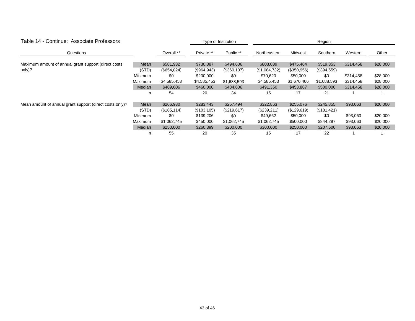| Table 14 - Continue: Associate Professors                |                |              | Type of Institution |              | Region        |             |             |           |          |  |
|----------------------------------------------------------|----------------|--------------|---------------------|--------------|---------------|-------------|-------------|-----------|----------|--|
| Questions                                                |                | Overall **   | Private **          | Public **    | Northeastern  | Midwest     | Southern    | Western   | Other    |  |
| Maximum amount of annual grant support (direct costs     | Mean           | \$581,932    | \$730,387           | \$494,606    | \$808,039     | \$475,464   | \$519,353   | \$314,458 | \$28,000 |  |
| only)?                                                   | (STD)          | (\$654,024)  | (\$964,943)         | (\$360, 107) | (\$1,084,732) | (\$350,956) | (\$394,559) |           |          |  |
|                                                          | Minimum        | \$0          | \$200,000           | \$0          | \$70,620      | \$50,000    | \$0         | \$314,458 | \$28,000 |  |
|                                                          | Maximum        | \$4,585,453  | \$4,585,453         | \$1,688,593  | \$4,585,453   | \$1,670,466 | \$1,688,593 | \$314,458 | \$28,000 |  |
|                                                          | Median         | \$469,606    | \$460,000           | \$484,606    | \$491,350     | \$453,887   | \$500,000   | \$314,458 | \$28,000 |  |
|                                                          | n              | 54           | 20                  | 34           | 15            | 17          | 21          |           |          |  |
| Mean amount of annual grant support (direct costs only)? | Mean           | \$266,930    | \$283,443           | \$257,494    | \$322,863     | \$255,076   | \$245,855   | \$93,063  | \$20,000 |  |
|                                                          | (STD)          | (\$185, 114) | (\$103, 105)        | (\$219,617)  | (\$239,211)   | (\$129,619) | (\$181,421) |           |          |  |
|                                                          | <b>Minimum</b> | \$0          | \$139,206           | \$0          | \$49,662      | \$50,000    | \$0         | \$93,063  | \$20,000 |  |
|                                                          | Maximum        | \$1,062,745  | \$450,000           | \$1,062,745  | \$1,062,745   | \$500,000   | \$844,297   | \$93,063  | \$20,000 |  |
|                                                          | Median         | \$250,000    | \$260,399           | \$200,000    | \$300,000     | \$250,000   | \$207,500   | \$93,063  | \$20,000 |  |
|                                                          | n              | 55           | 20                  | 35           | 15            | 17          | 22          |           |          |  |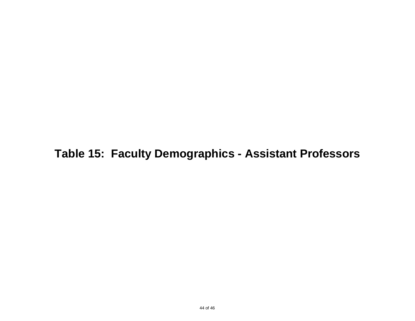**Table 15: Faculty Demographics - Assistant Professors**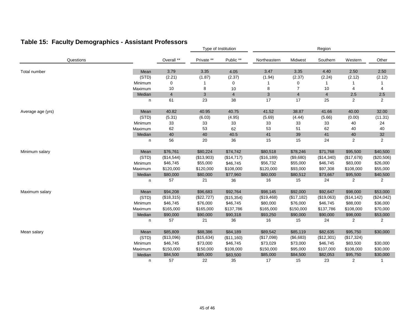### **Table 15: Faculty Demographics - Assistant Professors**

|                   |         |                |            | Type of Institution |              | Region                  |                |             |                |  |
|-------------------|---------|----------------|------------|---------------------|--------------|-------------------------|----------------|-------------|----------------|--|
| Questions         |         | Overall **     | Private ** | Public **           | Northeastern | Midwest                 | Southern       | Western     | Other          |  |
| Total number      | Mean    | 3.79           | 3.35       | 4.05                | 3.47         | 3.35                    | 4.40           | 2.50        | 2.50           |  |
|                   | (STD)   | (2.21)         | (1.87)     | (2.37)              | (1.94)       | (2.37)                  | (2.24)         | (2.12)      | (2.12)         |  |
|                   | Minimum | 0              |            | 0                   | 1            | 0                       | $\mathbf{1}$   |             |                |  |
|                   | Maximum | 10             | 8          | 10                  | 8            | $\overline{7}$          | 10             | 4           | 4              |  |
|                   | Median  | $\overline{4}$ | 3          | $\overline{4}$      | 3            | $\overline{\mathbf{4}}$ | $\overline{4}$ | 2.5         | 2.5            |  |
|                   | n       | 61             | 23         | 38                  | 17           | 17                      | 25             | 2           | $\overline{2}$ |  |
| Average age (yrs) | Mean    | 40.82          | 40.95      | 40.75               | 41.52        | 38.87                   | 41.66          | 40.00       | 32.00          |  |
|                   | (STD)   | (5.31)         | (6.03)     | (4.95)              | (5.69)       | (4.44)                  | (5.66)         | (0.00)      | (11.31)        |  |
|                   | Minimum | 33             | 33         | 33                  | 33           | 33                      | 33             | 40          | 24             |  |
|                   | Maximum | 62             | 53         | 62                  | 53           | 51                      | 62             | 40          | 40             |  |
|                   | Median  | 40             | 40         | 40.5                | 41           | 39                      | 41             | $40\,$      | $32\,$         |  |
|                   | n       | 56             | 20         | 36                  | 15           | 15                      | 24             | 2           | $\overline{2}$ |  |
| Minimum salary    | Mean    | \$76,761       | \$80,224   | \$74,742            | \$80,518     | \$78,246                | \$71,768       | \$95,500    | \$40,500       |  |
|                   | (STD)   | (\$14,544)     | (\$13,903) | (\$14,717)          | (\$16, 189)  | (\$9,680)               | (\$14,340)     | (\$17,678)  | (\$20,506)     |  |
|                   | Minimum | \$46,745       | \$55,000   | \$46,745            | \$56,732     | \$55,000                | \$46,745       | \$83,000    | \$26,000       |  |
|                   | Maximum | \$120,000      | \$120,000  | \$108,000           | \$120,000    | \$93,000                | \$97,308       | \$108,000   | \$55,000       |  |
|                   | Median  | \$80,000       | \$80,000   | \$77,960            | \$80,000     | \$80,512                | \$73,667       | \$95,500    | \$40,500       |  |
|                   | n       | 57             | 21         | 36                  | 16           | 15                      | 24             | 2           | 2              |  |
| Maximum salary    | Mean    | \$94,208       | \$96,683   | \$92,764            | \$98,145     | \$92,000                | \$92,647       | \$98,000    | \$53,000       |  |
|                   | (STD)   | (\$18,315)     | (\$22,727) | (\$15,354)          | (\$19,468)   | (\$17,182)              | (\$19,063)     | (\$14, 142) | (\$24,042)     |  |
|                   | Minimum | \$46,745       | \$76,000   | \$46,745            | \$80,000     | \$76,000                | \$46,745       | \$88,000    | \$36,000       |  |
|                   | Maximum | \$165,000      | \$165,000  | \$137,786           | \$165,000    | \$150,000               | \$137,786      | \$108,000   | \$70,000       |  |
|                   | Median  | \$90,000       | \$90,000   | \$90,318            | \$93,250     | \$90,000                | \$90,000       | \$98,000    | \$53,000       |  |
|                   | n       | 57             | 21         | 36                  | 16           | 15                      | 24             | 2           | 2              |  |
| Mean salary       | Mean    | \$85,809       | \$88,386   | \$84,189            | \$89,542     | \$85,119                | \$82,635       | \$95,750    | \$30,000       |  |
|                   | (STD)   | (\$13,096)     | (\$15,634) | (\$11,160)          | (\$17,098)   | (\$6,683)               | (\$12,301)     | (\$17,324)  |                |  |
|                   | Minimum | \$46,745       | \$73,000   | \$46,745            | \$73,029     | \$73,000                | \$46,745       | \$83,500    | \$30,000       |  |
|                   | Maximum | \$150,000      | \$150,000  | \$108,000           | \$150,000    | \$95,000                | \$107,000      | \$108,000   | \$30,000       |  |
|                   | Median  | \$84,500       | \$85,000   | \$83,500            | \$85,000     | \$84,500                | \$82,053       | \$95,750    | \$30,000       |  |
|                   | n       | 57             | 22         | 35                  | 17           | 15                      | 23             | 2           | $\mathbf{1}$   |  |